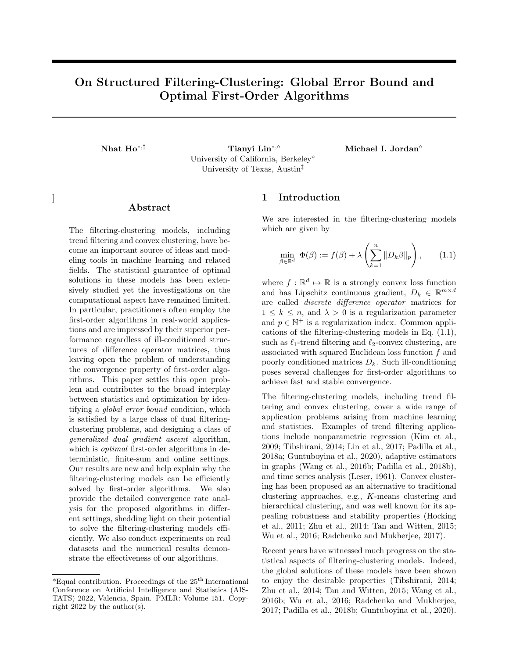# On Structured Filtering-Clustering: Global Error Bound and Optimal First-Order Algorithms

Nhat  $\text{Ho}^{*,\ddagger}$  Tianyi Lin<sup>∗,  $\circ$ </sup> Michael I. Jordan<sup>o</sup> University of California, Berkeley University of Texas, Austin‡

]

# ${\rm Abstract}$

The filtering-clustering models, including trend filtering and convex clustering, have become an important source of ideas and modeling tools in machine learning and related fields. The statistical guarantee of optimal solutions in these models has been extensively studied yet the investigations on the computational aspect have remained limited. In particular, practitioners often employ the first-order algorithms in real-world applications and are impressed by their superior performance regardless of ill-conditioned structures of difference operator matrices, thus leaving open the problem of understanding the convergence property of first-order algorithms. This paper settles this open problem and contributes to the broad interplay between statistics and optimization by identifying a global error bound condition, which is satisfied by a large class of dual filteringclustering problems, and designing a class of generalized dual gradient ascent algorithm, which is *optimal* first-order algorithms in deterministic, finite-sum and online settings. Our results are new and help explain why the filtering-clustering models can be efficiently solved by first-order algorithms. We also provide the detailed convergence rate analysis for the proposed algorithms in different settings, shedding light on their potential to solve the filtering-clustering models efficiently. We also conduct experiments on real datasets and the numerical results demonstrate the effectiveness of our algorithms.

## 1 Introduction

We are interested in the filtering-clustering models which are given by

$$
\min_{\beta \in \mathbb{R}^d} \Phi(\beta) := f(\beta) + \lambda \left( \sum_{k=1}^n \|D_k \beta\|_p \right), \qquad (1.1)
$$

where  $f: \mathbb{R}^d \mapsto \mathbb{R}$  is a strongly convex loss function and has Lipschitz continuous gradient,  $D_k \in \mathbb{R}^{m \times d}$ are called discrete difference operator matrices for  $1 \leq k \leq n$ , and  $\lambda > 0$  is a regularization parameter and  $p \in \mathbb{N}^+$  is a regularization index. Common applications of the filtering-clustering models in Eq. (1.1), such as  $\ell_1$ -trend filtering and  $\ell_2$ -convex clustering, are associated with squared Euclidean loss function  $f$  and poorly conditioned matrices  $D_k$ . Such ill-conditioning poses several challenges for first-order algorithms to achieve fast and stable convergence.

The filtering-clustering models, including trend filtering and convex clustering, cover a wide range of application problems arising from machine learning and statistics. Examples of trend filtering applications include nonparametric regression (Kim et al., 2009; Tibshirani, 2014; Lin et al., 2017; Padilla et al., 2018a; Guntuboyina et al., 2020), adaptive estimators in graphs (Wang et al., 2016b; Padilla et al., 2018b), and time series analysis (Leser, 1961). Convex clustering has been proposed as an alternative to traditional clustering approaches, e.g., K-means clustering and hierarchical clustering, and was well known for its appealing robustness and stability properties (Hocking et al., 2011; Zhu et al., 2014; Tan and Witten, 2015; Wu et al., 2016; Radchenko and Mukherjee, 2017).

Recent years have witnessed much progress on the statistical aspects of filtering-clustering models. Indeed, the global solutions of these models have been shown to enjoy the desirable properties (Tibshirani, 2014; Zhu et al., 2014; Tan and Witten, 2015; Wang et al., 2016b; Wu et al., 2016; Radchenko and Mukherjee, 2017; Padilla et al., 2018b; Guntuboyina et al., 2020).

 $*$ Equal contribution. Proceedings of the 25<sup>th</sup> International Conference on Artificial Intelligence and Statistics (AIS-TATS) 2022, Valencia, Spain. PMLR: Volume 151. Copyright 2022 by the author(s).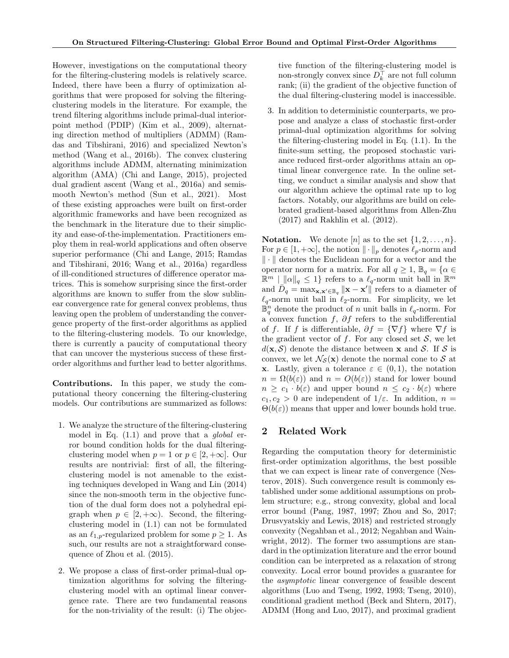However, investigations on the computational theory for the filtering-clustering models is relatively scarce. Indeed, there have been a flurry of optimization algorithms that were proposed for solving the filteringclustering models in the literature. For example, the trend filtering algorithms include primal-dual interiorpoint method (PDIP) (Kim et al., 2009), alternating direction method of multipliers (ADMM) (Ramdas and Tibshirani, 2016) and specialized Newton's method (Wang et al., 2016b). The convex clustering algorithms include ADMM, alternating minimization algorithm (AMA) (Chi and Lange, 2015), projected dual gradient ascent (Wang et al., 2016a) and semismooth Newton's method (Sun et al., 2021). Most of these existing approaches were built on first-order algorithmic frameworks and have been recognized as the benchmark in the literature due to their simplicity and ease-of-the-implementation. Practitioners employ them in real-world applications and often observe superior performance (Chi and Lange, 2015; Ramdas and Tibshirani, 2016; Wang et al., 2016a) regardless of ill-conditioned structures of difference operator matrices. This is somehow surprising since the first-order algorithms are known to suffer from the slow sublinear convergence rate for general convex problems, thus leaving open the problem of understanding the convergence property of the first-order algorithms as applied to the filtering-clustering models. To our knowledge, there is currently a paucity of computational theory that can uncover the mysterious success of these firstorder algorithms and further lead to better algorithms.

Contributions. In this paper, we study the computational theory concerning the filtering-clustering models. Our contributions are summarized as follows:

- 1. We analyze the structure of the filtering-clustering model in Eq.  $(1.1)$  and prove that a *global* error bound condition holds for the dual filteringclustering model when  $p = 1$  or  $p \in [2, +\infty]$ . Our results are nontrivial: first of all, the filteringclustering model is not amenable to the existing techniques developed in Wang and Lin (2014) since the non-smooth term in the objective function of the dual form does not a polyhedral epigraph when  $p \in [2, +\infty)$ . Second, the filteringclustering model in (1.1) can not be formulated as an  $\ell_{1,p}$ -regularized problem for some  $p \geq 1$ . As such, our results are not a straightforward consequence of Zhou et al. (2015).
- 2. We propose a class of first-order primal-dual optimization algorithms for solving the filteringclustering model with an optimal linear convergence rate. There are two fundamental reasons for the non-triviality of the result: (i) The objec-

tive function of the filtering-clustering model is non-strongly convex since  $D_k^{\top}$  are not full column rank; (ii) the gradient of the objective function of the dual filtering-clustering model is inaccessible.

3. In addition to deterministic counterparts, we propose and analyze a class of stochastic first-order primal-dual optimization algorithms for solving the filtering-clustering model in Eq. (1.1). In the finite-sum setting, the proposed stochastic variance reduced first-order algorithms attain an optimal linear convergence rate. In the online setting, we conduct a similar analysis and show that our algorithm achieve the optimal rate up to log factors. Notably, our algorithms are build on celebrated gradient-based algorithms from Allen-Zhu (2017) and Rakhlin et al. (2012).

**Notation.** We denote [n] as to the set  $\{1, 2, \ldots, n\}$ . For  $p \in [1, +\infty]$ , the notion  $\|\cdot\|_p$  denotes  $\ell_p$ -norm and  $\|\cdot\|$  denotes the Euclidean norm for a vector and the operator norm for a matrix. For all  $q \geq 1$ ,  $\mathbb{B}_q = \{ \alpha \in$  $\mathbb{R}^m$  |  $\|\alpha\|_q \leq 1$ } refers to a  $\ell_q$ -norm unit ball in  $\mathbb{R}^m$ and  $\overline{D}_q = \max_{\mathbf{x}, \mathbf{x}' \in \mathbb{B}_q} ||\mathbf{x} - \mathbf{x}'||$  refers to a diameter of  $\ell_q$ -norm unit ball in  $\ell_2$ -norm. For simplicity, we let  $\mathbb{B}_q^n$  denote the product of n unit balls in  $\ell_q$ -norm. For a convex function  $f$ ,  $\partial f$  refers to the subdifferential of f. If f is differentiable,  $\partial f = \{ \nabla f \}$  where  $\nabla f$  is the gradient vector of f. For any closed set  $S$ , we let  $d(\mathbf{x}, \mathcal{S})$  denote the distance between **x** and *S*. If *S* is convex, we let  $\mathcal{N}_{\mathcal{S}}(\mathbf{x})$  denote the normal cone to  $\mathcal{S}$  at **x**. Lastly, given a tolerance  $\varepsilon \in (0,1)$ , the notation  $n = \Omega(b(\varepsilon))$  and  $n = O(b(\varepsilon))$  stand for lower bound  $n \geq c_1 \cdot b(\varepsilon)$  and upper bound  $n \leq c_2 \cdot b(\varepsilon)$  where  $c_1, c_2 > 0$  are independent of  $1/\varepsilon$ . In addition,  $n =$  $\Theta(b(\varepsilon))$  means that upper and lower bounds hold true.

## 2 Related Work

Regarding the computation theory for deterministic first-order optimization algorithms, the best possible that we can expect is linear rate of convergence (Nesterov, 2018). Such convergence result is commonly established under some additional assumptions on problem structure; e.g., strong convexity, global and local error bound (Pang, 1987, 1997; Zhou and So, 2017; Drusvyatskiy and Lewis, 2018) and restricted strongly convexity (Negahban et al., 2012; Negahban and Wainwright, 2012). The former two assumptions are standard in the optimization literature and the error bound condition can be interpreted as a relaxation of strong convexity. Local error bound provides a guarantee for the asymptotic linear convergence of feasible descent algorithms (Luo and Tseng, 1992, 1993; Tseng, 2010), conditional gradient method (Beck and Shtern, 2017), ADMM (Hong and Luo, 2017), and proximal gradient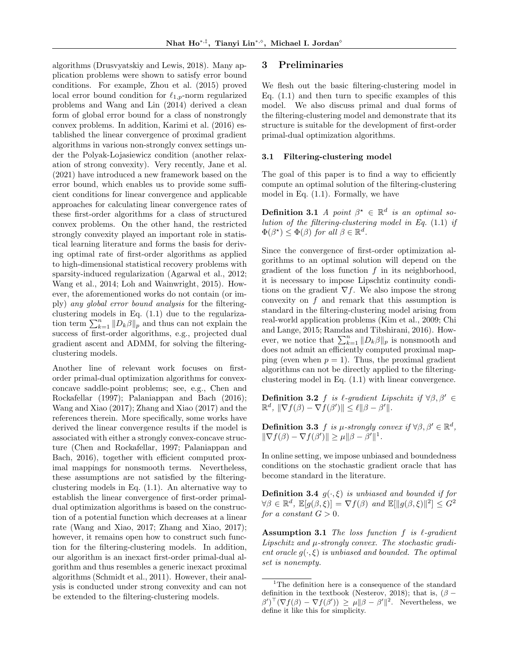algorithms (Drusvyatskiy and Lewis, 2018). Many application problems were shown to satisfy error bound conditions. For example, Zhou et al. (2015) proved local error bound condition for  $\ell_{1,p}$ -norm regularized problems and Wang and Lin (2014) derived a clean form of global error bound for a class of nonstrongly convex problems. In addition, Karimi et al. (2016) established the linear convergence of proximal gradient algorithms in various non-strongly convex settings under the Polyak-Lojasiewicz condition (another relaxation of strong convexity). Very recently, Jane et al. (2021) have introduced a new framework based on the error bound, which enables us to provide some sufficient conditions for linear convergence and applicable approaches for calculating linear convergence rates of these first-order algorithms for a class of structured convex problems. On the other hand, the restricted strongly convexity played an important role in statistical learning literature and forms the basis for deriving optimal rate of first-order algorithms as applied to high-dimensional statistical recovery problems with sparsity-induced regularization (Agarwal et al., 2012; Wang et al., 2014; Loh and Wainwright, 2015). However, the aforementioned works do not contain (or imply) any global error bound analysis for the filteringclustering models in Eq. (1.1) due to the regularization term  $\sum_{k=1}^{n} ||D_k \beta||_p$  and thus can not explain the success of first-order algorithms, e.g., projected dual gradient ascent and ADMM, for solving the filteringclustering models.

Another line of relevant work focuses on firstorder primal-dual optimization algorithms for convexconcave saddle-point problems; see, e.g., Chen and Rockafellar (1997); Palaniappan and Bach (2016); Wang and Xiao (2017); Zhang and Xiao (2017) and the references therein. More specifically, some works have derived the linear convergence results if the model is associated with either a strongly convex-concave structure (Chen and Rockafellar, 1997; Palaniappan and Bach, 2016), together with efficient computed proximal mappings for nonsmooth terms. Nevertheless, these assumptions are not satisfied by the filteringclustering models in Eq. (1.1). An alternative way to establish the linear convergence of first-order primaldual optimization algorithms is based on the construction of a potential function which decreases at a linear rate (Wang and Xiao, 2017; Zhang and Xiao, 2017); however, it remains open how to construct such function for the filtering-clustering models. In addition, our algorithm is an inexact first-order primal-dual algorithm and thus resembles a generic inexact proximal algorithms (Schmidt et al., 2011). However, their analysis is conducted under strong convexity and can not be extended to the filtering-clustering models.

## 3 Preliminaries

We flesh out the basic filtering-clustering model in Eq.  $(1.1)$  and then turn to specific examples of this model. We also discuss primal and dual forms of the filtering-clustering model and demonstrate that its structure is suitable for the development of first-order primal-dual optimization algorithms.

### 3.1 Filtering-clustering model

The goal of this paper is to find a way to efficiently compute an optimal solution of the filtering-clustering model in Eq. (1.1). Formally, we have

**Definition 3.1** A point  $\beta^* \in \mathbb{R}^d$  is an optimal solution of the filtering-clustering model in Eq. (1.1) if  $\Phi(\beta^{\star}) \leq \Phi(\beta)$  for all  $\beta \in \mathbb{R}^d$ .

Since the convergence of first-order optimization algorithms to an optimal solution will depend on the gradient of the loss function  $f$  in its neighborhood, it is necessary to impose Lipschtiz continuity conditions on the gradient  $\nabla f$ . We also impose the strong convexity on f and remark that this assumption is standard in the filtering-clustering model arising from real-world application problems (Kim et al., 2009; Chi and Lange, 2015; Ramdas and Tibshirani, 2016). However, we notice that  $\sum_{k=1}^{n} ||D_k \beta||_p$  is nonsmooth and does not admit an efficiently computed proximal mapping (even when  $p = 1$ ). Thus, the proximal gradient algorithms can not be directly applied to the filteringclustering model in Eq. (1.1) with linear convergence.

**Definition 3.2** f is  $\ell$ -gradient Lipschitz if  $\forall \beta, \beta' \in$  $\mathbb{R}^d$ ,  $\|\nabla f(\beta) - \nabla f(\beta')\| \leq \ell \|\beta - \beta'\|.$ 

**Definition 3.3** f is  $\mu$ -strongly convex if  $\forall \beta, \beta' \in \mathbb{R}^d$ ,  $\|\nabla f(\beta) - \nabla f(\beta')\| \ge \mu \|\beta - \beta'\|^1.$ 

In online setting, we impose unbiased and boundedness conditions on the stochastic gradient oracle that has become standard in the literature.

**Definition 3.4**  $g(\cdot, \xi)$  is unbiased and bounded if for  $\forall \beta \in \mathbb{R}^d$ ,  $\mathbb{E}[g(\beta,\xi)] = \nabla f(\beta)$  and  $\mathbb{E}[\Vert g(\beta,\xi)\Vert^2] \leq G^2$ for a constant  $G > 0$ .

Assumption 3.1 The loss function  $f$  is  $\ell$ -gradient Lipschitz and  $\mu$ -strongly convex. The stochastic gradient oracle  $g(\cdot,\xi)$  is unbiased and bounded. The optimal set is nonempty.

<sup>&</sup>lt;sup>1</sup>The definition here is a consequence of the standard definition in the textbook (Nesterov, 2018); that is,  $(\beta (\beta')^{\top}(\nabla f(\beta) - \nabla f(\beta')) \geq \mu \|\beta - \beta'\|^2$ . Nevertheless, we define it like this for simplicity.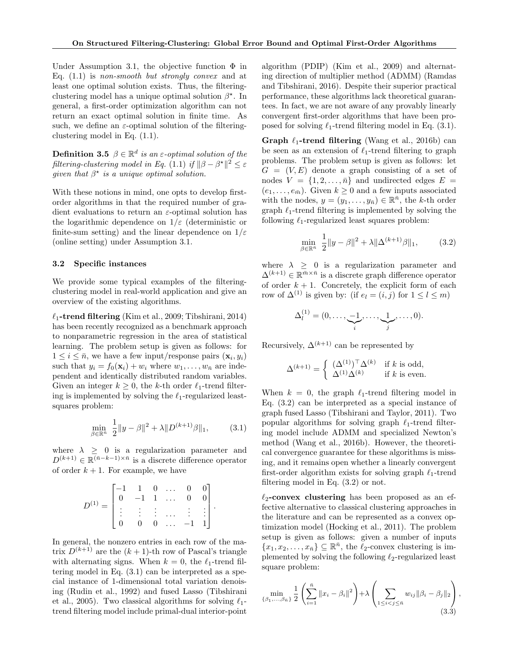Under Assumption 3.1, the objective function  $\Phi$  in Eq.  $(1.1)$  is non-smooth but strongly convex and at least one optimal solution exists. Thus, the filteringclustering model has a unique optimal solution  $\beta^*$ . In general, a first-order optimization algorithm can not return an exact optimal solution in finite time. As such, we define an  $\varepsilon$ -optimal solution of the filteringclustering model in Eq. (1.1).

**Definition 3.5**  $\beta \in \mathbb{R}^d$  is an  $\varepsilon$ -optimal solution of the filtering-clustering model in Eq. (1.1) if  $\|\beta - \beta^*\|^2 \leq \varepsilon$ given that  $\beta^*$  is a unique optimal solution.

With these notions in mind, one opts to develop firstorder algorithms in that the required number of gradient evaluations to return an  $\varepsilon$ -optimal solution has the logarithmic dependence on  $1/\varepsilon$  (deterministic or finite-sum setting) and the linear dependence on  $1/\varepsilon$ (online setting) under Assumption 3.1.

### 3.2 Specific instances

We provide some typical examples of the filteringclustering model in real-world application and give an overview of the existing algorithms.

 $\ell_1$ -trend filtering (Kim et al., 2009; Tibshirani, 2014) has been recently recognized as a benchmark approach to nonparametric regression in the area of statistical learning. The problem setup is given as follows: for  $1 \leq i \leq \bar{n}$ , we have a few input/response pairs  $(\mathbf{x}_i, y_i)$ such that  $y_i = f_0(\mathbf{x}_i) + w_i$  where  $w_1, \ldots, w_{\bar{n}}$  are independent and identically distributed random variables. Given an integer  $k \geq 0$ , the k-th order  $\ell_1$ -trend filtering is implemented by solving the  $\ell_1$ -regularized leastsquares problem:

$$
\min_{\beta \in \mathbb{R}^n} \frac{1}{2} \|y - \beta\|^2 + \lambda \|D^{(k+1)}\beta\|_1, \tag{3.1}
$$

.

where  $\lambda \geq 0$  is a regularization parameter and  $D^{(k+1)} \in \mathbb{R}^{(\bar{n}-k-1)\times \bar{n}}$  is a discrete difference operator of order  $k + 1$ . For example, we have

$$
D^{(1)} = \begin{bmatrix} -1 & 1 & 0 & \dots & 0 & 0 \\ 0 & -1 & 1 & \dots & 0 & 0 \\ \vdots & \vdots & \vdots & \dots & \vdots & \vdots \\ 0 & 0 & 0 & \dots & -1 & 1 \end{bmatrix}
$$

In general, the nonzero entries in each row of the matrix  $D^{(k+1)}$  are the  $(k+1)$ -th row of Pascal's triangle with alternating signs. When  $k = 0$ , the  $\ell_1$ -trend filtering model in Eq. (3.1) can be interpreted as a special instance of 1-dimensional total variation denoising (Rudin et al., 1992) and fused Lasso (Tibshirani et al., 2005). Two classical algorithms for solving  $\ell_1$ trend filtering model include primal-dual interior-point algorithm (PDIP) (Kim et al., 2009) and alternating direction of multiplier method (ADMM) (Ramdas and Tibshirani, 2016). Despite their superior practical performance, these algorithms lack theoretical guarantees. In fact, we are not aware of any provably linearly convergent first-order algorithms that have been proposed for solving  $\ell_1$ -trend filtering model in Eq. (3.1).

Graph  $\ell_1$ -trend filtering (Wang et al., 2016b) can be seen as an extension of  $\ell_1$ -trend filtering to graph problems. The problem setup is given as follows: let  $G = (V, E)$  denote a graph consisting of a set of nodes  $V = \{1, 2, ..., \bar{n}\}\$ and undirected edges  $E =$  $(e_1, \ldots, e_{\bar{m}})$ . Given  $k \geq 0$  and a few inputs associated with the nodes,  $y = (y_1, \ldots, y_{\bar{n}}) \in \mathbb{R}^{\bar{n}}$ , the k-th order graph  $\ell_1$ -trend filtering is implemented by solving the following  $\ell_1$ -regularized least squares problem:

$$
\min_{\beta \in \mathbb{R}^n} \frac{1}{2} \|y - \beta\|^2 + \lambda \|\Delta^{(k+1)}\beta\|_1, \tag{3.2}
$$

where  $\lambda \geq 0$  is a regularization parameter and  $\Delta^{(k+1)} \in \mathbb{R}^{\bar{m} \times \bar{n}}$  is a discrete graph difference operator of order  $k + 1$ . Concretely, the explicit form of each row of  $\Delta^{(1)}$  is given by: (if  $e_l = (i, j)$  for  $1 \leq l \leq m$ )

$$
\Delta_l^{(1)}=(0,\ldots,\underbrace{-1}_{i},\ldots,\underbrace{1}_{j},\ldots,0).
$$

Recursively,  $\Delta^{(k+1)}$  can be represented by

$$
\Delta^{(k+1)} = \begin{cases} (\Delta^{(1)})^\top \Delta^{(k)} & \text{if } k \text{ is odd,} \\ \Delta^{(1)} \Delta^{(k)} & \text{if } k \text{ is even.} \end{cases}
$$

When  $k = 0$ , the graph  $\ell_1$ -trend filtering model in Eq. (3.2) can be interpreted as a special instance of graph fused Lasso (Tibshirani and Taylor, 2011). Two popular algorithms for solving graph  $\ell_1$ -trend filtering model include ADMM and specialized Newton's method (Wang et al., 2016b). However, the theoretical convergence guarantee for these algorithms is missing, and it remains open whether a linearly convergent first-order algorithm exists for solving graph  $\ell_1$ -trend filtering model in Eq. (3.2) or not.

 $\ell_2$ -convex clustering has been proposed as an effective alternative to classical clustering approaches in the literature and can be represented as a convex optimization model (Hocking et al., 2011). The problem setup is given as follows: given a number of inputs  $\{x_1, x_2, \ldots, x_{\bar{n}}\} \subseteq \mathbb{R}^{\bar{n}}$ , the  $\ell_2$ -convex clustering is implemented by solving the following  $\ell_2$ -regularized least square problem:

$$
\min_{\{\beta_1,\dots,\beta_{\bar{n}}\}} \frac{1}{2} \left( \sum_{i=1}^{\bar{n}} \|x_i - \beta_i\|^2 \right) + \lambda \left( \sum_{1 \le i < j \le \bar{n}} w_{ij} \|\beta_i - \beta_j\|_2 \right),\tag{3.3}
$$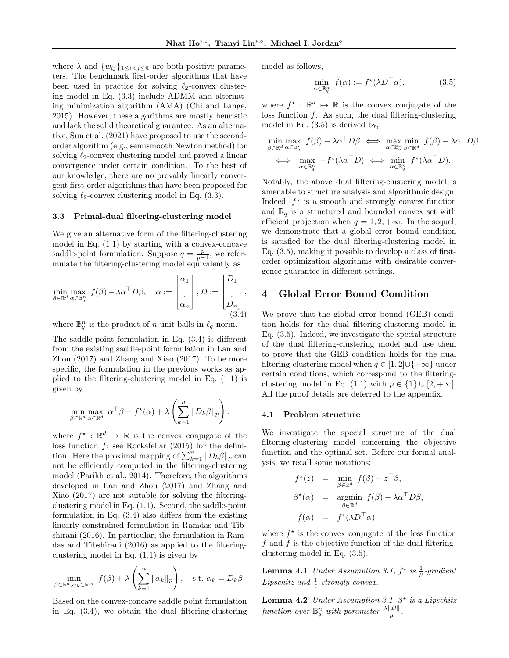where  $\lambda$  and  $\{w_{ij}\}_{1\leq i < j \leq \bar{n}}$  are both positive parameters. The benchmark first-order algorithms that have been used in practice for solving  $\ell_2$ -convex clustering model in Eq. (3.3) include ADMM and alternating minimization algorithm (AMA) (Chi and Lange, 2015). However, these algorithms are mostly heuristic and lack the solid theoretical guarantee. As an alternative, Sun et al. (2021) have proposed to use the secondorder algorithm (e.g., semismooth Newton method) for solving  $\ell_2$ -convex clustering model and proved a linear convergence under certain condition. To the best of our knowledge, there are no provably linearly convergent first-order algorithms that have been proposed for solving  $\ell_2$ -convex clustering model in Eq. (3.3).

#### 3.3 Primal-dual filtering-clustering model

We give an alternative form of the filtering-clustering model in Eq. (1.1) by starting with a convex-concave saddle-point formulation. Suppose  $q = \frac{p}{p-1}$ , we reformulate the filtering-clustering model equivalently as

$$
\min_{\beta \in \mathbb{R}^d} \max_{\alpha \in \mathbb{B}_q^n} f(\beta) - \lambda \alpha^\top D \beta, \quad \alpha := \begin{bmatrix} \alpha_1 \\ \vdots \\ \alpha_n \end{bmatrix}, D := \begin{bmatrix} D_1 \\ \vdots \\ D_n \end{bmatrix},
$$
\n(3.4)

where  $\mathbb{B}_q^n$  is the product of n unit balls in  $\ell_q$ -norm.

The saddle-point formulation in Eq. (3.4) is different from the existing saddle-point formulation in Lan and Zhou (2017) and Zhang and Xiao (2017). To be more specific, the formulation in the previous works as applied to the filtering-clustering model in Eq. (1.1) is given by

$$
\min_{\beta \in \mathbb{R}^d} \max_{\alpha \in \mathbb{R}^d} \alpha^{\top} \beta - f^{\star}(\alpha) + \lambda \left( \sum_{k=1}^n \|D_k \beta\|_p \right).
$$

where  $f^*$ :  $\mathbb{R}^d \to \mathbb{R}$  is the convex conjugate of the loss function  $f$ ; see Rockafellar (2015) for the definition. Here the proximal mapping of  $\sum_{k=1}^{n} ||D_k \beta||_p$  can not be efficiently computed in the filtering-clustering model (Parikh et al., 2014). Therefore, the algorithms developed in Lan and Zhou (2017) and Zhang and Xiao (2017) are not suitable for solving the filteringclustering model in Eq. (1.1). Second, the saddle-point formulation in Eq. (3.4) also differs from the existing linearly constrained formulation in Ramdas and Tibshirani (2016). In particular, the formulation in Ramdas and Tibshirani (2016) as applied to the filteringclustering model in Eq. (1.1) is given by

$$
\min_{\beta \in \mathbb{R}^d, \alpha_k \in \mathbb{R}^m} f(\beta) + \lambda \left( \sum_{k=1}^n \|\alpha_k\|_p \right), \quad \text{s.t. } \alpha_k = D_k \beta.
$$

Based on the convex-concave saddle point formulation in Eq. (3.4), we obtain the dual filtering-clustering model as follows,

$$
\min_{\alpha \in \mathbb{B}_q^n} \bar{f}(\alpha) := f^\star(\lambda D^\top \alpha),\tag{3.5}
$$

where  $f^*$ :  $\mathbb{R}^d \mapsto \mathbb{R}$  is the convex conjugate of the loss function f. As such, the dual filtering-clustering model in Eq. (3.5) is derived by,

$$
\min_{\beta \in \mathbb{R}^d} \max_{\alpha \in \mathbb{B}_q^n} f(\beta) - \lambda \alpha^\top D \beta \iff \max_{\alpha \in \mathbb{B}_q^n} \min_{\beta \in \mathbb{R}^d} f(\beta) - \lambda \alpha^\top D \beta
$$
  

$$
\iff \max_{\alpha \in \mathbb{B}_q^n} -f^{\star}(\lambda \alpha^\top D) \iff \min_{\alpha \in \mathbb{B}_q^n} f^{\star}(\lambda \alpha^\top D).
$$

Notably, the above dual filtering-clustering model is amenable to structure analysis and algorithmic design. Indeed,  $f^*$  is a smooth and strongly convex function and  $\mathbb{B}_{q}$  is a structured and bounded convex set with efficient projection when  $q = 1, 2, +\infty$ . In the sequel, we demonstrate that a global error bound condition is satisfied for the dual filtering-clustering model in Eq. (3.5), making it possible to develop a class of firstorder optimization algorithms with desirable convergence guarantee in different settings.

## 4 Global Error Bound Condition

We prove that the global error bound (GEB) condition holds for the dual filtering-clustering model in Eq. (3.5). Indeed, we investigate the special structure of the dual filtering-clustering model and use them to prove that the GEB condition holds for the dual filtering-clustering model when  $q \in [1, 2] \cup \{+\infty\}$  under certain conditions, which correspond to the filteringclustering model in Eq. (1.1) with  $p \in \{1\} \cup [2, +\infty]$ . All the proof details are deferred to the appendix.

### 4.1 Problem structure

We investigate the special structure of the dual filtering-clustering model concerning the objective function and the optimal set. Before our formal analysis, we recall some notations:

$$
f^{\star}(z) = \min_{\beta \in \mathbb{R}^d} f(\beta) - z^{\top} \beta,
$$
  
\n
$$
\beta^{\star}(\alpha) = \operatorname*{argmin}_{\beta \in \mathbb{R}^d} f(\beta) - \lambda \alpha^{\top} D\beta,
$$
  
\n
$$
\bar{f}(\alpha) = f^{\star}(\lambda D^{\top} \alpha).
$$

where  $f^*$  is the convex conjugate of the loss function f and  $\bar{f}$  is the objective function of the dual filteringclustering model in Eq. (3.5).

**Lemma 4.1** Under Assumption 3.1,  $f^*$  is  $\frac{1}{\mu}$ -gradient Lipschitz and  $\frac{1}{\ell}$ -strongly convex.

**Lemma 4.2** Under Assumption 3.1,  $\beta^*$  is a Lipschitz function over  $\mathbb{B}_q^n$  with parameter  $\frac{\lambda ||D||}{\mu}$ .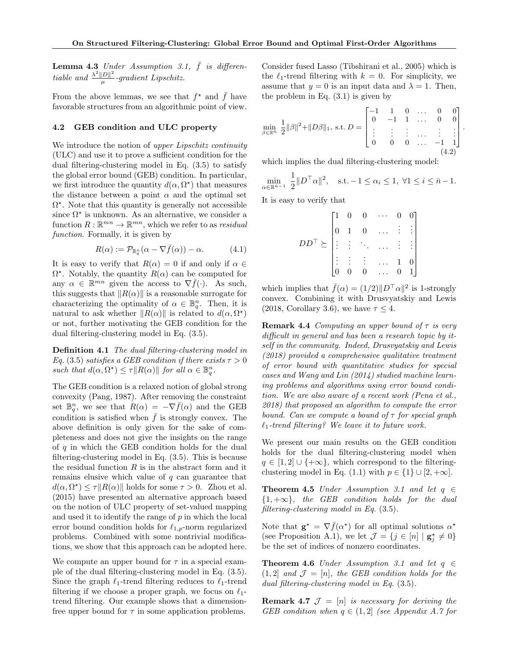**Lemma 4.3** Under Assumption 3.1,  $\bar{f}$  is differentiable and  $\frac{\lambda^2 ||D||^2}{\mu}$  $\frac{|D||}{\mu}$ -gradient Lipschitz.

From the above lemmas, we see that  $f^*$  and  $\bar{f}$  have favorable structures from an algorithmic point of view.

### 4.2 GEB condition and ULC property

We introduce the notion of upper Lipschitz continuity (ULC) and use it to prove a sufficient condition for the dual filtering-clustering model in Eq. (3.5) to satisfy the global error bound (GEB) condition. In particular, we first introduce the quantity  $d(\alpha, \Omega^*)$  that measures the distance between a point  $\alpha$  and the optimal set  $\Omega^*$ . Note that this quantity is generally not accessible since  $\Omega^*$  is unknown. As an alternative, we consider a function  $R : \mathbb{R}^{mn} \to \mathbb{R}^{mn}$ , which we refer to as *residual* function. Formally, it is given by

$$
R(\alpha) := \mathcal{P}_{\mathbb{B}_q^n}(\alpha - \nabla \bar{f}(\alpha)) - \alpha.
$$
 (4.1)

It is easy to verify that  $R(\alpha) = 0$  if and only if  $\alpha \in$  $\Omega^*$ . Notably, the quantity  $R(\alpha)$  can be computed for any  $\alpha \in \mathbb{R}^{mn}$  given the access to  $\nabla \bar{f}(\cdot)$ . As such, this suggests that  $||R(\alpha)||$  is a reasonable surrogate for characterizing the optimality of  $\alpha \in \mathbb{B}_q^n$ . Then, it is natural to ask whether  $||R(\alpha)||$  is related to  $d(\alpha, \Omega^*)$ or not, further motivating the GEB condition for the dual filtering-clustering model in Eq. (3.5).

Definition 4.1 The dual filtering-clustering model in Eq. (3.5) satisfies a GEB condition if there exists  $\tau > 0$ such that  $d(\alpha, \Omega^*) \leq \tau || R(\alpha) ||$  for all  $\alpha \in \mathbb{B}_q^n$ .

The GEB condition is a relaxed notion of global strong convexity (Pang, 1987). After removing the constraint set  $\mathbb{B}_q^n$ , we see that  $R(\alpha) = -\nabla \bar{f}(\alpha)$  and the GEB condition is satisfied when  $\bar{f}$  is strongly convex. The above definition is only given for the sake of completeness and does not give the insights on the range of  $q$  in which the GEB condition holds for the dual filtering-clustering model in Eq. (3.5). This is because the residual function  $R$  is in the abstract form and it remains elusive which value of  $q$  can guarantee that  $d(\alpha, \Omega^*) \leq \tau \|R(\alpha)\|$  holds for some  $\tau > 0$ . Zhou et al. (2015) have presented an alternative approach based on the notion of ULC property of set-valued mapping and used it to identify the range of  $p$  in which the local error bound condition holds for  $\ell_{1,p}$ -norm regularized problems. Combined with some nontrivial modifications, we show that this approach can be adopted here.

We compute an upper bound for  $\tau$  in a special example of the dual filtering-clustering model in Eq. (3.5). Since the graph  $\ell_1$ -trend filtering reduces to  $\ell_1$ -trend filtering if we choose a proper graph, we focus on  $\ell_1$ trend filtering. Our example shows that a dimensionfree upper bound for  $\tau$  in some application problems.

Consider fused Lasso (Tibshirani et al., 2005) which is the  $\ell_1$ -trend filtering with  $k = 0$ . For simplicity, we assume that  $y = 0$  is an input data and  $\lambda = 1$ . Then, the problem in Eq. (3.1) is given by

$$
\min_{\beta \in \mathbb{R}^n} \frac{1}{2} ||\beta||^2 + ||D\beta||_1, \text{ s.t. } D = \begin{bmatrix} -1 & 1 & 0 & \dots & 0 & 0 \\ 0 & -1 & 1 & \dots & 0 & 0 \\ \vdots & \vdots & \vdots & \dots & \vdots & \vdots \\ 0 & 0 & 0 & \dots & -1 & 1 \end{bmatrix}.
$$
\n(4.2)

which implies the dual filtering-clustering model:

$$
\min_{\alpha \in \mathbb{R}^{\bar{n}-1}} \frac{1}{2} \|D^{\top}\alpha\|^2, \quad \text{s.t.} -1 \le \alpha_i \le 1, \ \forall 1 \le i \le \bar{n}-1.
$$

It is easy to verify that

|                  | $\boldsymbol{0}$ | 0              | .        |                |
|------------------|------------------|----------------|----------|----------------|
|                  | $\mathbf{1}$     | $\overline{0}$ | $\cdots$ | $\frac{1}{2}$  |
| $\geq$ : :<br>DD |                  |                |          | $\frac{1}{2}$  |
|                  |                  |                |          |                |
|                  |                  |                |          | 1 <sub>1</sub> |

which implies that  $\bar{f}(\alpha) = (1/2) ||D^{\top} \alpha||^2$  is 1-strongly convex. Combining it with Drusvyatskiy and Lewis (2018, Corollary 3.6), we have  $\tau \leq 4$ .

**Remark 4.4** Computing an upper bound of  $\tau$  is very difficult in general and has been a research topic by itself in the community. Indeed, Drusvyatskiy and Lewis (2018) provided a comprehensive qualitative treatment of error bound with quantitative studies for special cases and Wang and Lin (2014) studied machine learning problems and algorithms using error bound condition. We are also aware of a recent work (Pena et al., 2018) that proposed an algorithm to compute the error bound. Can we compute a bound of  $\tau$  for special graph  $\ell_1$ -trend filtering? We leave it to future work.

We present our main results on the GEB condition holds for the dual filtering-clustering model when  $q \in [1, 2] \cup \{+\infty\}$ , which correspond to the filteringclustering model in Eq. (1.1) with  $p \in \{1\} \cup [2, +\infty]$ .

**Theorem 4.5** Under Assumption 3.1 and let  $q \in$  ${1, +\infty}$ , the GEB condition holds for the dual filtering-clustering model in Eq. (3.5).

Note that  $\mathbf{g}^* = \nabla \bar{f}(\alpha^*)$  for all optimal solutions  $\alpha^*$ (see Proposition A.1), we let  $\mathcal{J} = \{j \in [n] \mid \mathbf{g}_j^* \neq 0\}$ be the set of indices of nonzero coordinates.

**Theorem 4.6** Under Assumption 3.1 and let  $q \in$  $(1, 2)$  and  $\mathcal{J} = [n]$ , the GEB condition holds for the dual filtering-clustering model in Eq. (3.5).

**Remark 4.7**  $\mathcal{J} = [n]$  is necessary for deriving the GEB condition when  $q \in (1, 2]$  (see Appendix A.7 for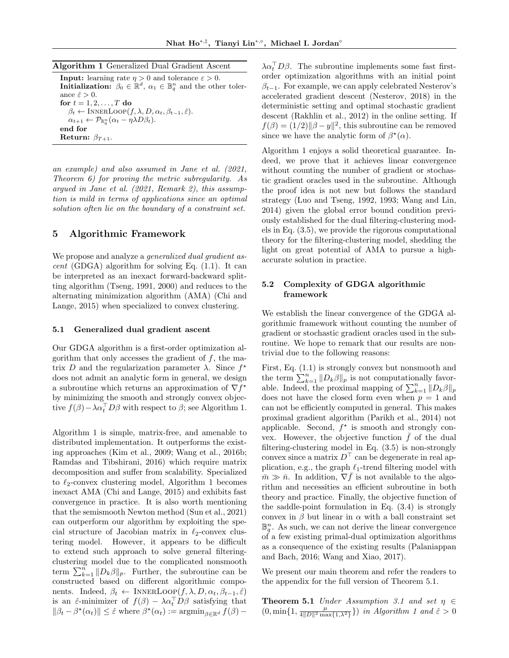| Algorithm 1 Generalized Dual Gradient Ascent |  |  |  |  |  |
|----------------------------------------------|--|--|--|--|--|
|----------------------------------------------|--|--|--|--|--|

**Input:** learning rate  $\eta > 0$  and tolerance  $\varepsilon > 0$ . **Initialization:**  $\beta_0 \in \mathbb{R}^d$ ,  $\alpha_1 \in \mathbb{B}_q^n$  and the other tolerance  $\hat{\varepsilon} > 0$ . for  $t = 1, 2, \ldots, T$  do  $\beta_t \leftarrow \text{INNERLoop}(f, \lambda, D, \alpha_t, \beta_{t-1}, \hat{\varepsilon}).$  $\alpha_{t+1} \leftarrow \mathcal{P}_{\mathbb{B}_q^n} (\alpha_t - \eta \lambda D \beta_t).$ end for Return:  $\beta_{T+1}$ .

an example) and also assumed in Jane et al. (2021, Theorem 6) for proving the metric subregularity. As argued in Jane et al. (2021, Remark 2), this assumption is mild in terms of applications since an optimal solution often lie on the boundary of a constraint set.

# 5 Algorithmic Framework

We propose and analyze a *generalized dual gradient as* $cent$  (GDGA) algorithm for solving Eq.  $(1.1)$ . It can be interpreted as an inexact forward-backward splitting algorithm (Tseng, 1991, 2000) and reduces to the alternating minimization algorithm (AMA) (Chi and Lange, 2015) when specialized to convex clustering.

### 5.1 Generalized dual gradient ascent

Our GDGA algorithm is a first-order optimization algorithm that only accesses the gradient of  $f$ , the matrix D and the regularization parameter  $\lambda$ . Since  $f^*$ does not admit an analytic form in general, we design a subroutine which returns an approximation of  $\nabla f^*$ by minimizing the smooth and strongly convex objective  $f(\beta) - \lambda \alpha_t^\top D\beta$  with respect to  $\beta$ ; see Algorithm 1.

Algorithm 1 is simple, matrix-free, and amenable to distributed implementation. It outperforms the existing approaches (Kim et al., 2009; Wang et al., 2016b; Ramdas and Tibshirani, 2016) which require matrix decomposition and suffer from scalability. Specialized to  $\ell_2$ -convex clustering model, Algorithm 1 becomes inexact AMA (Chi and Lange, 2015) and exhibits fast convergence in practice. It is also worth mentioning that the semismooth Newton method (Sun et al., 2021) can outperform our algorithm by exploiting the special structure of Jacobian matrix in  $\ell_2$ -convex clustering model. However, it appears to be difficult to extend such approach to solve general filteringclustering model due to the complicated nonsmooth term  $\sum_{k=1}^n ||D_k \beta||_p$ . Further, the subroutine can be constructed based on different algorithmic components. Indeed,  $\beta_t \leftarrow \text{INNERLoop}(f, \lambda, D, \alpha_t, \beta_{t-1}, \hat{\varepsilon})$ is an  $\hat{\varepsilon}$ -minimizer of  $f(\beta) - \lambda \alpha_t^{\top} D \beta$  satisfying that  $\|\beta_t - \beta^{\star}(\alpha_t)\| \leq \hat{\varepsilon}$  where  $\beta^{\star}(\alpha_t) := \operatorname{argmin}_{\beta \in \mathbb{R}^d} f(\beta) -$ 

 $\lambda \alpha_t^{\top} D \beta$ . The subroutine implements some fast firstorder optimization algorithms with an initial point  $\beta_{t-1}$ . For example, we can apply celebrated Nesterov's accelerated gradient descent (Nesterov, 2018) in the deterministic setting and optimal stochastic gradient descent (Rakhlin et al., 2012) in the online setting. If  $f(\beta) = (1/2) ||\beta - y||^2$ , this subroutine can be removed since we have the analytic form of  $\beta^*(\alpha)$ .

Algorithm 1 enjoys a solid theoretical guarantee. Indeed, we prove that it achieves linear convergence without counting the number of gradient or stochastic gradient oracles used in the subroutine. Although the proof idea is not new but follows the standard strategy (Luo and Tseng, 1992, 1993; Wang and Lin, 2014) given the global error bound condition previously established for the dual filtering-clustering models in Eq. (3.5), we provide the rigorous computational theory for the filtering-clustering model, shedding the light on great potential of AMA to pursue a highaccurate solution in practice.

## 5.2 Complexity of GDGA algorithmic framework

We establish the linear convergence of the GDGA algorithmic framework without counting the number of gradient or stochastic gradient oracles used in the subroutine. We hope to remark that our results are nontrivial due to the following reasons:

First, Eq.  $(1.1)$  is strongly convex but nonsmooth and the term  $\sum_{k=1}^{n} ||D_k \beta||_p$  is not computationally favorable. Indeed, the proximal mapping of  $\sum_{k=1}^{n} ||D_k \beta||_p$ does not have the closed form even when  $p = 1$  and can not be efficiently computed in general. This makes proximal gradient algorithm (Parikh et al., 2014) not applicable. Second,  $f^*$  is smooth and strongly convex. However, the objective function  $\bar{f}$  of the dual filtering-clustering model in Eq. (3.5) is non-strongly convex since a matrix  $D^{\top}$  can be degenerate in real application, e.g., the graph  $\ell_1$ -trend filtering model with  $\bar{m} \gg \bar{n}$ . In addition,  $\nabla \bar{f}$  is not available to the algorithm and necessities an efficient subroutine in both theory and practice. Finally, the objective function of the saddle-point formulation in Eq. (3.4) is strongly convex in  $\beta$  but linear in  $\alpha$  with a ball constraint set  $\mathbb{B}_{q}^{n}$ . As such, we can not derive the linear convergence of a few existing primal-dual optimization algorithms as a consequence of the existing results (Palaniappan and Bach, 2016; Wang and Xiao, 2017).

We present our main theorem and refer the readers to the appendix for the full version of Theorem 5.1.

**Theorem 5.1** Under Assumption 3.1 and set  $\eta \in$  $(0, \min\{1, \frac{\mu}{4\|D\|^2 \max\{1,\lambda^2\}}\})$  in Algorithm 1 and  $\hat{\varepsilon} > 0$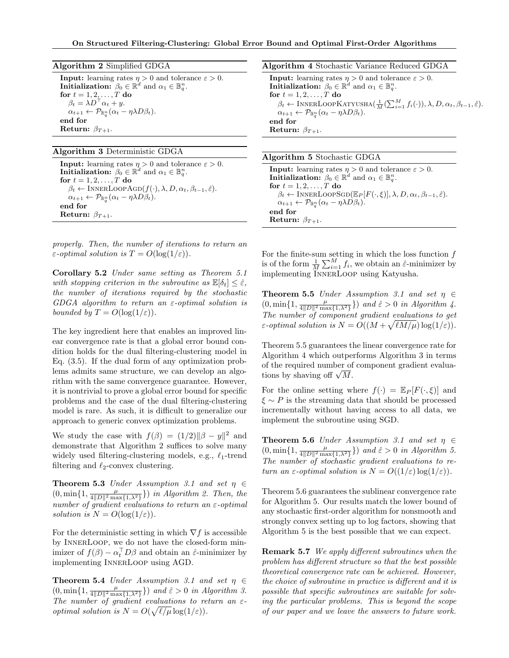### Algorithm 3 Deterministic GDGA

**Input:** learning rates  $\eta > 0$  and tolerance  $\varepsilon > 0$ . Initialization:  $\beta_0 \in \mathbb{R}^d$  and  $\alpha_1 \in \mathbb{B}_q^n$ . for  $t = 1, 2, \ldots, T$  do  $\beta_t \leftarrow \text{INNERLoopAGD}(f(\cdot), \lambda, D, \alpha_t, \beta_{t-1}, \hat{\varepsilon}).$  $\alpha_{t+1} \leftarrow \mathcal{P}_{\mathbb{B}_q^n} (\alpha_t - \eta \lambda D \beta_t).$ end for Return:  $\beta_{T+1}$ .

properly. Then, the number of iterations to return an  $\varepsilon$ -optimal solution is  $T = O(\log(1/\varepsilon)).$ 

Corollary 5.2 Under same setting as Theorem 5.1 with stopping criterion in the subroutine as  $\mathbb{E}[\delta_t] < \hat{\varepsilon}$ , the number of iterations required by the stochastic  $GDGA$  algorithm to return an  $\varepsilon$ -optimal solution is bounded by  $T = O(\log(1/\varepsilon)).$ 

The key ingredient here that enables an improved linear convergence rate is that a global error bound condition holds for the dual filtering-clustering model in Eq. (3.5). If the dual form of any optimization problems admits same structure, we can develop an algorithm with the same convergence guarantee. However, it is nontrivial to prove a global error bound for specific problems and the case of the dual filtering-clustering model is rare. As such, it is difficult to generalize our approach to generic convex optimization problems.

We study the case with  $f(\beta) = (1/2) ||\beta - y||^2$  and demonstrate that Algorithm 2 suffices to solve many widely used filtering-clustering models, e.g.,  $\ell_1$ -trend filtering and  $\ell_2$ -convex clustering.

**Theorem 5.3** Under Assumption 3.1 and set  $\eta \in$  $(0, \min\{1, \frac{\mu}{4\|D\|^2 \max\{1,\lambda^2\}}\})$  in Algorithm 2. Then, the number of gradient evaluations to return an  $\varepsilon$ -optimal solution is  $N = O(\log(1/\varepsilon)).$ 

For the deterministic setting in which  $\nabla f$  is accessible by InnerLoop, we do not have the closed-form minimizer of  $f(\beta) - \alpha_t^\top D\beta$  and obtain an  $\hat{\varepsilon}$ -minimizer by implementing InnerLoop using AGD.

**Theorem 5.4** Under Assumption 3.1 and set  $\eta \in$  $(0, \min\{1, \frac{\mu}{4\|D\|^2 \max\{1,\lambda^2\}}\})$  and  $\hat{\varepsilon} > 0$  in Algorithm 3. The number of gradient evaluations to return an  $\varepsilon$ *optimal solution is*  $N = O(\sqrt{\ell/\mu} \log(1/\varepsilon)).$ 

Algorithm 4 Stochastic Variance Reduced GDGA **Input:** learning rates  $\eta > 0$  and tolerance  $\varepsilon > 0$ . Initialization:  $\beta_0 \in \mathbb{R}^d$  and  $\alpha_1 \in \mathbb{B}_q^n$ . for  $t=1,2,\ldots,T$  do  $\beta_t \leftarrow \text{INNERLoopKATYUSHA}(\frac{1}{M}(\sum_{i=1}^{M} f_i(\cdot)), \lambda, D, \alpha_t, \beta_{t-1}, \hat{\varepsilon}).$  $\alpha_{t+1} \leftarrow \mathcal{P}_{\mathbb{B}_q^n} (\alpha_t - \eta \lambda D \beta_t).$ end for

Return:  $\beta_{T+1}$ .

### Algorithm 5 Stochastic GDGA

**Input:** learning rates  $\eta > 0$  and tolerance  $\varepsilon > 0$ . Initialization:  $\beta_0 \in \mathbb{R}^d$  and  $\alpha_1 \in \mathbb{B}_q^n$ . for  $t = 1, 2, \ldots, T$  do  $\beta_t \leftarrow \text{INNERLoopSGD}(\mathbb{E}_P[F(\cdot,\xi)], \lambda, D, \alpha_t, \beta_{t-1}, \hat{\varepsilon}).$  $\alpha_{t+1} \leftarrow \mathcal{P}_{\mathbb{B}_q^n} (\alpha_t - \eta \lambda D \beta_t).$ end for Return:  $\beta_{T+1}$ .

For the finite-sum setting in which the loss function  $f$ is of the form  $\frac{1}{M} \sum_{i=1}^{M} f_i$ , we obtain an  $\hat{\varepsilon}$ -minimizer by implementing InnerLoop using Katyusha.

**Theorem 5.5** Under Assumption 3.1 and set  $\eta \in$  $(0, \min\{1, \frac{\mu}{4\|D\|^2 \max\{1,\lambda^2\}}\})$  and  $\hat{\varepsilon} > 0$  in Algorithm 4. The number of component gradient evaluations to get  $\varepsilon$ -optimal solution is  $N = O((M + \sqrt{\ell M/\mu}) \log(1/\varepsilon)).$ 

Theorem 5.5 guarantees the linear convergence rate for Algorithm 4 which outperforms Algorithm 3 in terms of the required number of component gradient evaluaor the required number of<br>tions by shaving off  $\sqrt{M}$ .

For the online setting where  $f(\cdot) = \mathbb{E}_P[F(\cdot, \xi)]$  and  $\xi \sim P$  is the streaming data that should be processed incrementally without having access to all data, we implement the subroutine using SGD.

**Theorem 5.6** Under Assumption 3.1 and set  $\eta \in$  $(0, \min\{1, \frac{\mu}{4\|D\|^2 \max\{1,\lambda^2\}}\})$  and  $\hat{\varepsilon} > 0$  in Algorithm 5. The number of stochastic gradient evaluations to return an  $\varepsilon$ -optimal solution is  $N = O((1/\varepsilon) \log(1/\varepsilon)).$ 

Theorem 5.6 guarantees the sublinear convergence rate for Algorithm 5. Our results match the lower bound of any stochastic first-order algorithm for nonsmooth and strongly convex setting up to log factors, showing that Algorithm 5 is the best possible that we can expect.

Remark 5.7 We apply different subroutines when the problem has different structure so that the best possible theoretical convergence rate can be achieved. However, the choice of subroutine in practice is different and it is possible that specific subroutines are suitable for solving the particular problems. This is beyond the scope of our paper and we leave the answers to future work.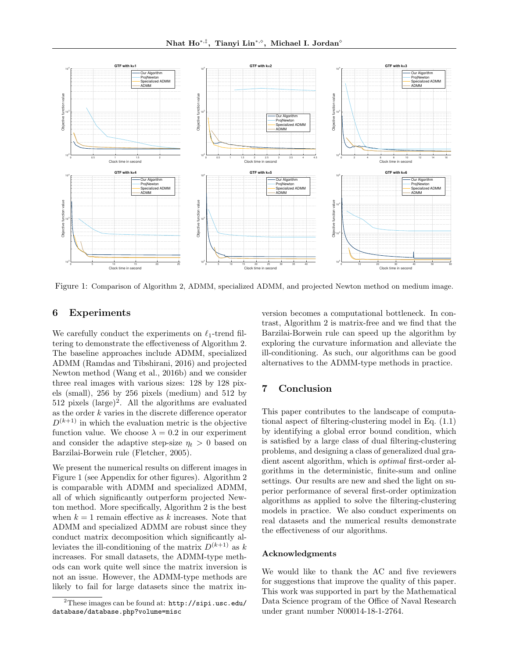

Figure 1: Comparison of Algorithm 2, ADMM, specialized ADMM, and projected Newton method on medium image.

### 6 Experiments

We carefully conduct the experiments on  $\ell_1$ -trend filtering to demonstrate the effectiveness of Algorithm 2. The baseline approaches include ADMM, specialized ADMM (Ramdas and Tibshirani, 2016) and projected Newton method (Wang et al., 2016b) and we consider three real images with various sizes: 128 by 128 pixels (small), 256 by 256 pixels (medium) and 512 by  $512$  pixels  $(large)^2$ . All the algorithms are evaluated as the order k varies in the discrete difference operator  $D^{(k+1)}$  in which the evaluation metric is the objective function value. We choose  $\lambda = 0.2$  in our experiment and consider the adaptive step-size  $\eta_t > 0$  based on Barzilai-Borwein rule (Fletcher, 2005).

We present the numerical results on different images in Figure 1 (see Appendix for other figures). Algorithm 2 is comparable with ADMM and specialized ADMM, all of which significantly outperform projected Newton method. More specifically, Algorithm 2 is the best when  $k = 1$  remain effective as k increases. Note that ADMM and specialized ADMM are robust since they conduct matrix decomposition which significantly alleviates the ill-conditioning of the matrix  $D^{(k+1)}$  as k increases. For small datasets, the ADMM-type methods can work quite well since the matrix inversion is not an issue. However, the ADMM-type methods are likely to fail for large datasets since the matrix inversion becomes a computational bottleneck. In contrast, Algorithm 2 is matrix-free and we find that the Barzilai-Borwein rule can speed up the algorithm by exploring the curvature information and alleviate the ill-conditioning. As such, our algorithms can be good alternatives to the ADMM-type methods in practice.

# 7 Conclusion

This paper contributes to the landscape of computational aspect of filtering-clustering model in Eq. (1.1) by identifying a global error bound condition, which is satisfied by a large class of dual filtering-clustering problems, and designing a class of generalized dual gradient ascent algorithm, which is optimal first-order algorithms in the deterministic, finite-sum and online settings. Our results are new and shed the light on superior performance of several first-order optimization algorithms as applied to solve the filtering-clustering models in practice. We also conduct experiments on real datasets and the numerical results demonstrate the effectiveness of our algorithms.

## Acknowledgments

We would like to thank the AC and five reviewers for suggestions that improve the quality of this paper. This work was supported in part by the Mathematical Data Science program of the Office of Naval Research under grant number N00014-18-1-2764.

 $^{2}$ These images can be found at:  ${\tt http://sipi.usc.edu/}$ database/database.php?volume=misc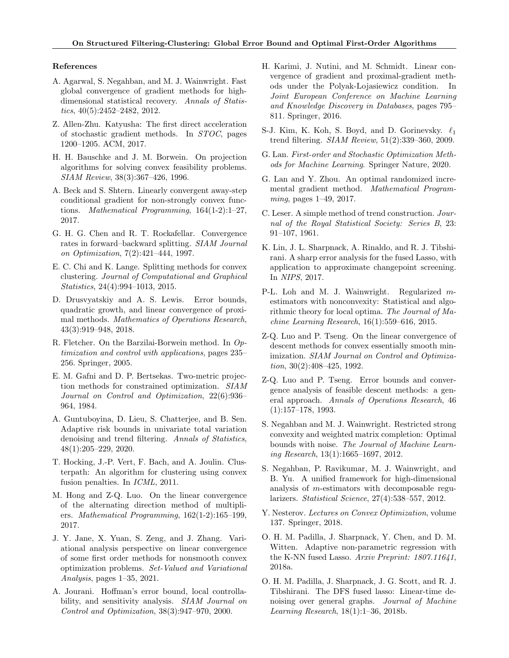### References

- A. Agarwal, S. Negahban, and M. J. Wainwright. Fast global convergence of gradient methods for highdimensional statistical recovery. Annals of Statistics, 40(5):2452–2482, 2012.
- Z. Allen-Zhu. Katyusha: The first direct acceleration of stochastic gradient methods. In STOC, pages 1200–1205. ACM, 2017.
- H. H. Bauschke and J. M. Borwein. On projection algorithms for solving convex feasibility problems. SIAM Review, 38(3):367–426, 1996.
- A. Beck and S. Shtern. Linearly convergent away-step conditional gradient for non-strongly convex functions. Mathematical Programming, 164(1-2):1–27, 2017.
- G. H. G. Chen and R. T. Rockafellar. Convergence rates in forward–backward splitting. SIAM Journal on Optimization, 7(2):421–444, 1997.
- E. C. Chi and K. Lange. Splitting methods for convex clustering. Journal of Computational and Graphical Statistics, 24(4):994–1013, 2015.
- D. Drusvyatskiy and A. S. Lewis. Error bounds, quadratic growth, and linear convergence of proximal methods. Mathematics of Operations Research, 43(3):919–948, 2018.
- R. Fletcher. On the Barzilai-Borwein method. In Optimization and control with applications, pages 235– 256. Springer, 2005.
- E. M. Gafni and D. P. Bertsekas. Two-metric projection methods for constrained optimization. SIAM Journal on Control and Optimization, 22(6):936– 964, 1984.
- A. Guntuboyina, D. Lieu, S. Chatterjee, and B. Sen. Adaptive risk bounds in univariate total variation denoising and trend filtering. Annals of Statistics, 48(1):205–229, 2020.
- T. Hocking, J.-P. Vert, F. Bach, and A. Joulin. Clusterpath: An algorithm for clustering using convex fusion penalties. In ICML, 2011.
- M. Hong and Z-Q. Luo. On the linear convergence of the alternating direction method of multipliers. Mathematical Programming, 162(1-2):165–199, 2017.
- J. Y. Jane, X. Yuan, S. Zeng, and J. Zhang. Variational analysis perspective on linear convergence of some first order methods for nonsmooth convex optimization problems. Set-Valued and Variational Analysis, pages  $1-35$ ,  $2021$ .
- A. Jourani. Hoffman's error bound, local controllability, and sensitivity analysis. SIAM Journal on Control and Optimization, 38(3):947–970, 2000.
- H. Karimi, J. Nutini, and M. Schmidt. Linear convergence of gradient and proximal-gradient methods under the Polyak-Lojasiewicz condition. In Joint European Conference on Machine Learning and Knowledge Discovery in Databases, pages 795– 811. Springer, 2016.
- S-J. Kim, K. Koh, S. Boyd, and D. Gorinevsky.  $\ell_1$ trend filtering. SIAM Review, 51(2):339–360, 2009.
- G. Lan. First-order and Stochastic Optimization Methods for Machine Learning. Springer Nature, 2020.
- G. Lan and Y. Zhou. An optimal randomized incremental gradient method. Mathematical Programming, pages 1–49, 2017.
- C. Leser. A simple method of trend construction. Journal of the Royal Statistical Society: Series B, 23: 91–107, 1961.
- K. Lin, J. L. Sharpnack, A. Rinaldo, and R. J. Tibshirani. A sharp error analysis for the fused Lasso, with application to approximate changepoint screening. In NIPS, 2017.
- P-L. Loh and M. J. Wainwright. Regularized mestimators with nonconvexity: Statistical and algorithmic theory for local optima. The Journal of Machine Learning Research, 16(1):559–616, 2015.
- Z-Q. Luo and P. Tseng. On the linear convergence of descent methods for convex essentially smooth minimization. SIAM Journal on Control and Optimization, 30(2):408–425, 1992.
- Z-Q. Luo and P. Tseng. Error bounds and convergence analysis of feasible descent methods: a general approach. Annals of Operations Research, 46 (1):157–178, 1993.
- S. Negahban and M. J. Wainwright. Restricted strong convexity and weighted matrix completion: Optimal bounds with noise. The Journal of Machine Learning Research, 13(1):1665–1697, 2012.
- S. Negahban, P. Ravikumar, M. J. Wainwright, and B. Yu. A unified framework for high-dimensional analysis of m-estimators with decomposable regularizers. Statistical Science, 27(4):538–557, 2012.
- Y. Nesterov. Lectures on Convex Optimization, volume 137. Springer, 2018.
- O. H. M. Padilla, J. Sharpnack, Y. Chen, and D. M. Witten. Adaptive non-parametric regression with the K-NN fused Lasso. Arxiv Preprint: 1807.11641, 2018a.
- O. H. M. Padilla, J. Sharpnack, J. G. Scott, and R. J. Tibshirani. The DFS fused lasso: Linear-time denoising over general graphs. Journal of Machine Learning Research, 18(1):1–36, 2018b.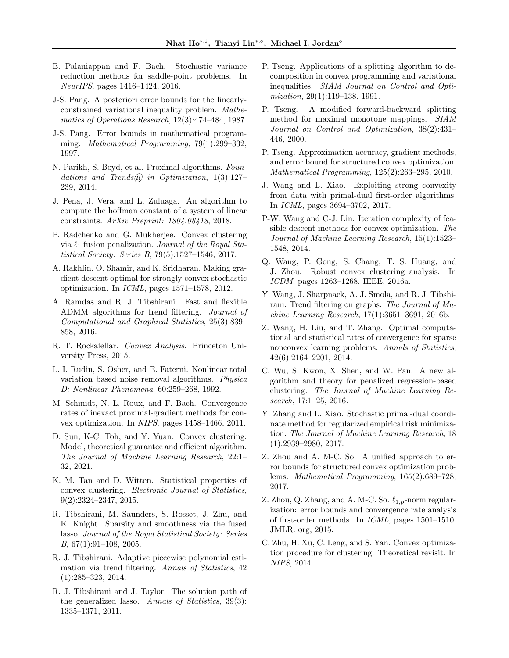- B. Palaniappan and F. Bach. Stochastic variance reduction methods for saddle-point problems. In NeurIPS, pages 1416–1424, 2016.
- J-S. Pang. A posteriori error bounds for the linearlyconstrained variational inequality problem. Mathematics of Operations Research, 12(3):474–484, 1987.
- J-S. Pang. Error bounds in mathematical programming. Mathematical Programming, 79(1):299–332, 1997.
- N. Parikh, S. Boyd, et al. Proximal algorithms. Foundations and Trends $\mathcal{R}$  in Optimization, 1(3):127– 239, 2014.
- J. Pena, J. Vera, and L. Zuluaga. An algorithm to compute the hoffman constant of a system of linear constraints. ArXiv Preprint: 1804.08418, 2018.
- P. Radchenko and G. Mukherjee. Convex clustering via  $\ell_1$  fusion penalization. Journal of the Royal Statistical Society: Series B, 79(5):1527–1546, 2017.
- A. Rakhlin, O. Shamir, and K. Sridharan. Making gradient descent optimal for strongly convex stochastic optimization. In ICML, pages 1571–1578, 2012.
- A. Ramdas and R. J. Tibshirani. Fast and flexible ADMM algorithms for trend filtering. Journal of Computational and Graphical Statistics, 25(3):839– 858, 2016.
- R. T. Rockafellar. Convex Analysis. Princeton University Press, 2015.
- L. I. Rudin, S. Osher, and E. Faterni. Nonlinear total variation based noise removal algorithms. Physica D: Nonlinear Phenomena, 60:259–268, 1992.
- M. Schmidt, N. L. Roux, and F. Bach. Convergence rates of inexact proximal-gradient methods for convex optimization. In NIPS, pages 1458–1466, 2011.
- D. Sun, K-C. Toh, and Y. Yuan. Convex clustering: Model, theoretical guarantee and efficient algorithm. The Journal of Machine Learning Research, 22:1– 32, 2021.
- K. M. Tan and D. Witten. Statistical properties of convex clustering. Electronic Journal of Statistics, 9(2):2324–2347, 2015.
- R. Tibshirani, M. Saunders, S. Rosset, J. Zhu, and K. Knight. Sparsity and smoothness via the fused lasso. Journal of the Royal Statistical Society: Series B, 67(1):91–108, 2005.
- R. J. Tibshirani. Adaptive piecewise polynomial estimation via trend filtering. Annals of Statistics, 42 (1):285–323, 2014.
- R. J. Tibshirani and J. Taylor. The solution path of the generalized lasso. Annals of Statistics, 39(3): 1335–1371, 2011.
- P. Tseng. Applications of a splitting algorithm to decomposition in convex programming and variational inequalities. SIAM Journal on Control and Optimization, 29(1):119–138, 1991.
- P. Tseng. A modified forward-backward splitting method for maximal monotone mappings. SIAM Journal on Control and Optimization, 38(2):431– 446, 2000.
- P. Tseng. Approximation accuracy, gradient methods, and error bound for structured convex optimization. Mathematical Programming, 125(2):263–295, 2010.
- J. Wang and L. Xiao. Exploiting strong convexity from data with primal-dual first-order algorithms. In ICML, pages 3694–3702, 2017.
- P-W. Wang and C-J. Lin. Iteration complexity of feasible descent methods for convex optimization. The Journal of Machine Learning Research, 15(1):1523– 1548, 2014.
- Q. Wang, P. Gong, S. Chang, T. S. Huang, and J. Zhou. Robust convex clustering analysis. In ICDM, pages 1263–1268. IEEE, 2016a.
- Y. Wang, J. Sharpnack, A. J. Smola, and R. J. Tibshirani. Trend filtering on graphs. The Journal of Machine Learning Research, 17(1):3651–3691, 2016b.
- Z. Wang, H. Liu, and T. Zhang. Optimal computational and statistical rates of convergence for sparse nonconvex learning problems. Annals of Statistics, 42(6):2164–2201, 2014.
- C. Wu, S. Kwon, X. Shen, and W. Pan. A new algorithm and theory for penalized regression-based clustering. The Journal of Machine Learning Research, 17:1–25, 2016.
- Y. Zhang and L. Xiao. Stochastic primal-dual coordinate method for regularized empirical risk minimization. The Journal of Machine Learning Research, 18 (1):2939–2980, 2017.
- Z. Zhou and A. M-C. So. A unified approach to error bounds for structured convex optimization problems. Mathematical Programming, 165(2):689–728, 2017.
- Z. Zhou, Q. Zhang, and A. M-C. So.  $\ell_{1,p}$ -norm regularization: error bounds and convergence rate analysis of first-order methods. In ICML, pages 1501–1510. JMLR. org, 2015.
- C. Zhu, H. Xu, C. Leng, and S. Yan. Convex optimization procedure for clustering: Theoretical revisit. In NIPS, 2014.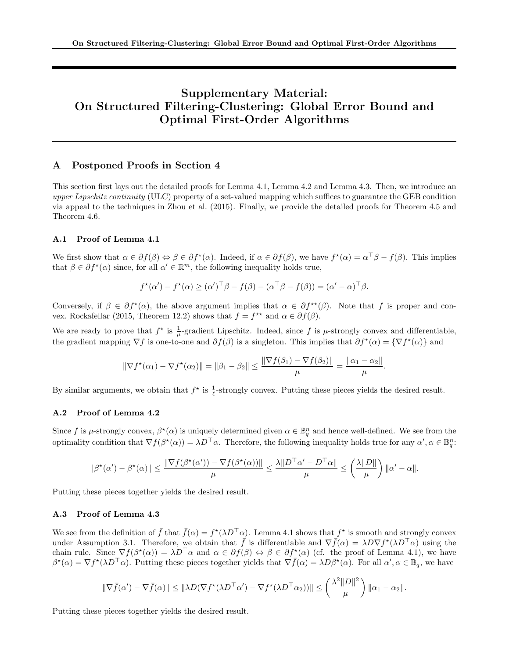# Supplementary Material: On Structured Filtering-Clustering: Global Error Bound and Optimal First-Order Algorithms

## A Postponed Proofs in Section 4

This section first lays out the detailed proofs for Lemma 4.1, Lemma 4.2 and Lemma 4.3. Then, we introduce an upper Lipschitz continuity (ULC) property of a set-valued mapping which suffices to guarantee the GEB condition via appeal to the techniques in Zhou et al. (2015). Finally, we provide the detailed proofs for Theorem 4.5 and Theorem 4.6.

### A.1 Proof of Lemma 4.1

We first show that  $\alpha \in \partial f(\beta) \Leftrightarrow \beta \in \partial f^{\star}(\alpha)$ . Indeed, if  $\alpha \in \partial f(\beta)$ , we have  $f^{\star}(\alpha) = \alpha^{\top} \beta - f(\beta)$ . This implies that  $\beta \in \partial f^{\star}(\alpha)$  since, for all  $\alpha' \in \mathbb{R}^m$ , the following inequality holds true,

$$
f^{\star}(\alpha') - f^{\star}(\alpha) \geq (\alpha')^{\top} \beta - f(\beta) - (\alpha^{\top} \beta - f(\beta)) = (\alpha' - \alpha)^{\top} \beta.
$$

Conversely, if  $\beta \in \partial f^{\star}(\alpha)$ , the above argument implies that  $\alpha \in \partial f^{\star\star}(\beta)$ . Note that f is proper and convex. Rockafellar (2015, Theorem 12.2) shows that  $f = f^{\star\star}$  and  $\alpha \in \partial f(\beta)$ .

We are ready to prove that  $f^*$  is  $\frac{1}{\mu}$ -gradient Lipschitz. Indeed, since f is  $\mu$ -strongly convex and differentiable, the gradient mapping  $\nabla f$  is one-to-one and  $\partial f(\beta)$  is a singleton. This implies that  $\partial f^{\star}(\alpha) = {\nabla f^{\star}(\alpha)}$  and

$$
\|\nabla f^{\star}(\alpha_1) - \nabla f^{\star}(\alpha_2)\| = \|\beta_1 - \beta_2\| \le \frac{\|\nabla f(\beta_1) - \nabla f(\beta_2)\|}{\mu} = \frac{\|\alpha_1 - \alpha_2\|}{\mu}.
$$

By similar arguments, we obtain that  $f^*$  is  $\frac{1}{\ell}$ -strongly convex. Putting these pieces yields the desired result.

### A.2 Proof of Lemma 4.2

Since f is  $\mu$ -strongly convex,  $\beta^*(\alpha)$  is uniquely determined given  $\alpha \in \mathbb{B}_q^n$  and hence well-defined. We see from the optimality condition that  $\nabla f(\beta^*(\alpha)) = \lambda D^{\top} \alpha$ . Therefore, the following inequality holds true for any  $\alpha', \alpha \in \mathbb{B}_q^n$ :

$$
\|\beta^\star(\alpha')-\beta^\star(\alpha)\|\leq \frac{\|\nabla f(\beta^\star(\alpha'))-\nabla f(\beta^\star(\alpha))\|}{\mu}\leq \frac{\lambda\|D^\top\alpha'-D^\top\alpha\|}{\mu}\leq \left(\frac{\lambda\|D\|}{\mu}\right)\|\alpha'-\alpha\|.
$$

Putting these pieces together yields the desired result.

### A.3 Proof of Lemma 4.3

We see from the definition of  $\bar{f}$  that  $\bar{f}(\alpha) = f^{\star}(\lambda D^{\top}\alpha)$ . Lemma 4.1 shows that  $f^{\star}$  is smooth and strongly convex under Assumption 3.1. Therefore, we obtain that  $\bar{f}$  is differentiable and  $\nabla \bar{f}(\alpha) = \lambda D \nabla f^*(\lambda D^{\top} \alpha)$  using the chain rule. Since  $\nabla f(\beta^*(\alpha)) = \lambda D^{\top} \alpha$  and  $\alpha \in \partial f(\beta) \Leftrightarrow \beta \in \partial f^*(\alpha)$  (cf. the proof of Lemma 4.1), we have  $\beta^*(\alpha) = \nabla f^*(\lambda D^{\top}\alpha)$ . Putting these pieces together yields that  $\nabla \bar{f}(\alpha) = \lambda D\beta^*(\alpha)$ . For all  $\alpha', \alpha \in \mathbb{B}_q$ , we have

$$
\|\nabla \bar{f}(\alpha') - \nabla \bar{f}(\alpha)\| \leq \|\lambda D(\nabla f^{\star}(\lambda D^{\top} \alpha') - \nabla f^{\star}(\lambda D^{\top} \alpha_2))\| \leq \left(\frac{\lambda^2 \|D\|^2}{\mu}\right) \|\alpha_1 - \alpha_2\|.
$$

Putting these pieces together yields the desired result.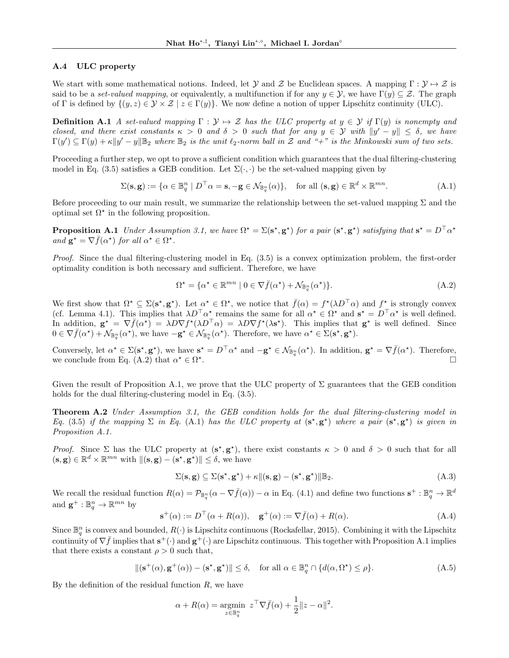### A.4 ULC property

We start with some mathematical notions. Indeed, let Y and Z be Euclidean spaces. A mapping  $\Gamma : \mathcal{Y} \mapsto \mathcal{Z}$  is said to be a set-valued mapping, or equivalently, a multifunction if for any  $y \in \mathcal{Y}$ , we have  $\Gamma(y) \subseteq \mathcal{Z}$ . The graph of Γ is defined by  $\{(y, z) \in \mathcal{Y} \times \mathcal{Z} \mid z \in \Gamma(y)\}\)$ . We now define a notion of upper Lipschitz continuity (ULC).

**Definition A.1** A set-valued mapping  $\Gamma : \mathcal{Y} \mapsto \mathcal{Z}$  has the ULC property at  $y \in \mathcal{Y}$  if  $\Gamma(y)$  is nonempty and closed, and there exist constants  $\kappa > 0$  and  $\delta > 0$  such that for any  $y \in \mathcal{Y}$  with  $||y' - y|| \leq \delta$ , we have  $\Gamma(y') \subseteq \Gamma(y) + \kappa ||y' - y||_{\mathbb{B}_2}$  where  $\mathbb{B}_2$  is the unit  $\ell_2$ -norm ball in  $\mathcal Z$  and "+" is the Minkowski sum of two sets.

Proceeding a further step, we opt to prove a sufficient condition which guarantees that the dual filtering-clustering model in Eq. (3.5) satisfies a GEB condition. Let  $\Sigma(\cdot, \cdot)$  be the set-valued mapping given by

$$
\Sigma(\mathbf{s}, \mathbf{g}) := \{ \alpha \in \mathbb{B}_q^n \mid D^\top \alpha = \mathbf{s}, -\mathbf{g} \in \mathcal{N}_{\mathbb{B}_q^n}(\alpha) \}, \quad \text{for all } (\mathbf{s}, \mathbf{g}) \in \mathbb{R}^d \times \mathbb{R}^{mn}.
$$
 (A.1)

Before proceeding to our main result, we summarize the relationship between the set-valued mapping  $\Sigma$  and the optimal set  $\Omega^*$  in the following proposition.

**Proposition A.1** Under Assumption 3.1, we have  $\Omega^* = \Sigma(s^*, g^*)$  for a pair  $(s^*, g^*)$  satisfying that  $s^* = D^{\top} \alpha^*$ and  $\mathbf{g}^* = \nabla \bar{f}(\alpha^*)$  for all  $\alpha^* \in \Omega^*$ .

Proof. Since the dual filtering-clustering model in Eq. (3.5) is a convex optimization problem, the first-order optimality condition is both necessary and sufficient. Therefore, we have

$$
\Omega^* = \{ \alpha^* \in \mathbb{R}^{mn} \mid 0 \in \nabla \bar{f}(\alpha^*) + \mathcal{N}_{\mathbb{B}_q^n}(\alpha^*) \}. \tag{A.2}
$$

We first show that  $\Omega^* \subseteq \Sigma(\mathbf{s}^*, \mathbf{g}^*)$ . Let  $\alpha^* \in \Omega^*$ , we notice that  $\bar{f}(\alpha) = f^*(\lambda D^\top \alpha)$  and  $f^*$  is strongly convex (cf. Lemma 4.1). This implies that  $\lambda D^{\top} \alpha^*$  remains the same for all  $\alpha^* \in \Omega^*$  and  $s^* = D^{\top} \alpha^*$  is well defined. In addition,  $\mathbf{g}^{\star} = \nabla \bar{f}(\alpha^{\star}) = \lambda D \nabla f^{\star}(\lambda D^{\top} \alpha) = \lambda D \nabla f^{\star}(\lambda \mathbf{s}^{\star})$ . This implies that  $\mathbf{g}^{\star}$  is well defined. Since  $0 \in \nabla \bar{f}(\alpha^*) + \mathcal{N}_{\mathbb{B}_q^n}(\alpha^*)$ , we have  $-\mathbf{g}^* \in \mathcal{N}_{\mathbb{B}_q^n}(\alpha^*)$ . Therefore, we have  $\alpha^* \in \Sigma(\mathbf{s}^*, \mathbf{g}^*)$ .

Conversely, let  $\alpha^* \in \Sigma(\mathbf{s}^*, \mathbf{g}^*)$ , we have  $\mathbf{s}^* = D^\top \alpha^*$  and  $-\mathbf{g}^* \in \mathcal{N}_{\mathbb{B}_q^n}(\alpha^*)$ . In addition,  $\mathbf{g}^* = \nabla \bar{f}(\alpha^*)$ . Therefore, we conclude from Eq. (A.2) that  $\alpha^* \in \Omega^*$ . The contract of  $\mathbb{Z}$  is the contract of  $\mathbb{Z}$  is the contract of  $\mathbb{Z}$ 

Given the result of Proposition A.1, we prove that the ULC property of  $\Sigma$  guarantees that the GEB condition holds for the dual filtering-clustering model in Eq.  $(3.5)$ .

**Theorem A.2** Under Assumption 3.1, the GEB condition holds for the dual filtering-clustering model in Eq. (3.5) if the mapping  $\Sigma$  in Eq. (A.1) has the ULC property at  $(s^*, g^*)$  where a pair  $(s^*, g^*)$  is given in Proposition A.1.

Proof. Since  $\Sigma$  has the ULC property at  $(s^*, g^*)$ , there exist constants  $\kappa > 0$  and  $\delta > 0$  such that for all  $(\mathbf{s}, \mathbf{g}) \in \mathbb{R}^d \times \mathbb{R}^{mn}$  with  $\|(\mathbf{s}, \mathbf{g}) - (\mathbf{s}^*, \mathbf{g}^*)\| \leq \delta$ , we have

$$
\Sigma(\mathbf{s}, \mathbf{g}) \subseteq \Sigma(\mathbf{s}^{\star}, \mathbf{g}^{\star}) + \kappa \| (\mathbf{s}, \mathbf{g}) - (\mathbf{s}^{\star}, \mathbf{g}^{\star}) \| \mathbb{B}_2.
$$
 (A.3)

We recall the residual function  $R(\alpha) = \mathcal{P}_{\mathbb{B}_q^n}(\alpha - \nabla \bar{f}(\alpha)) - \alpha$  in Eq. (4.1) and define two functions  $\mathbf{s}^+ : \mathbb{B}_q^n \to \mathbb{R}^d$ and  $\mathbf{g}^+ : \mathbb{B}_q^n \to \mathbb{R}^{mn}$  by

$$
\mathbf{s}^{+}(\alpha) := D^{\top}(\alpha + R(\alpha)), \quad \mathbf{g}^{+}(\alpha) := \nabla \bar{f}(\alpha) + R(\alpha). \tag{A.4}
$$

Since  $\mathbb{B}_q^n$  is convex and bounded,  $R(\cdot)$  is Lipschitz continuous (Rockafellar, 2015). Combining it with the Lipschitz continuity of  $\nabla \bar{f}$  implies that  $\mathbf{s}^+(\cdot)$  and  $\mathbf{g}^+(\cdot)$  are Lipschitz continuous. This together with Proposition A.1 implies that there exists a constant  $\rho > 0$  such that,

$$
\|(\mathbf{s}^+(\alpha), \mathbf{g}^+(\alpha)) - (\mathbf{s}^*, \mathbf{g}^*)\| \le \delta, \quad \text{for all } \alpha \in \mathbb{B}_q^n \cap \{d(\alpha, \Omega^*) \le \rho\}.
$$
 (A.5)

By the definition of the residual function  $R$ , we have

$$
\alpha + R(\alpha) = \underset{z \in \mathbb{B}_q^n}{\operatorname{argmin}} \ z^{\top} \nabla \bar{f}(\alpha) + \frac{1}{2} \|z - \alpha\|^2.
$$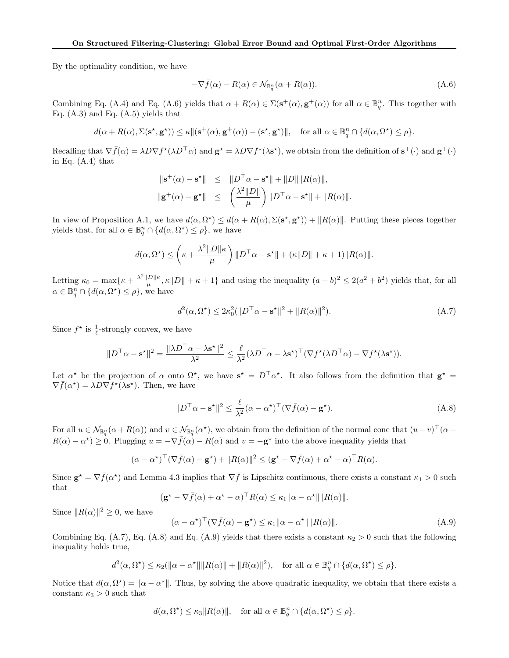By the optimality condition, we have

$$
-\nabla \bar{f}(\alpha) - R(\alpha) \in \mathcal{N}_{\mathbb{B}_q^n}(\alpha + R(\alpha)).
$$
\n(A.6)

Combining Eq. (A.4) and Eq. (A.6) yields that  $\alpha + R(\alpha) \in \Sigma(\mathbf{s}^+(\alpha), \mathbf{g}^+(\alpha))$  for all  $\alpha \in \mathbb{B}_q^n$ . This together with Eq.  $(A.3)$  and Eq.  $(A.5)$  yields that

$$
d(\alpha + R(\alpha), \Sigma(\mathbf{s}^{\star}, \mathbf{g}^{\star})) \le \kappa ||(\mathbf{s}^+(\alpha), \mathbf{g}^+(\alpha)) - (\mathbf{s}^{\star}, \mathbf{g}^{\star})||, \quad \text{for all } \alpha \in \mathbb{B}_q^n \cap \{d(\alpha, \Omega^{\star}) \le \rho\}.
$$

Recalling that  $\nabla \bar{f}(\alpha) = \lambda D \nabla f^*(\lambda D^{\top} \alpha)$  and  $\mathbf{g}^* = \lambda D \nabla f^*(\lambda \mathbf{s}^*)$ , we obtain from the definition of  $\mathbf{s}^+(\cdot)$  and  $\mathbf{g}^+(\cdot)$ in Eq. (A.4) that

$$
\begin{array}{rcl}\|\mathbf{s}^+(\alpha)-\mathbf{s}^{\star}\|&\leq&\|D^\top\alpha-\mathbf{s}^{\star}\|+\|D\|\|R(\alpha)\|,\\ \|\mathbf{g}^+(\alpha)-\mathbf{g}^{\star}\|&\leq&\left(\frac{\lambda^2\|D\|}{\mu}\right)\|D^\top\alpha-\mathbf{s}^{\star}\|+\|R(\alpha)\|. \end{array}
$$

In view of Proposition A.1, we have  $d(\alpha, \Omega^*) \leq d(\alpha + R(\alpha), \Sigma(\mathbf{s}^*, \mathbf{g}^*)) + ||R(\alpha)||$ . Putting these pieces together yields that, for all  $\alpha \in \mathbb{B}^n_q \cap \{d(\alpha,\Omega^{\star}) \leq \rho\}$ , we have

$$
d(\alpha, \Omega^{\star}) \leq \left(\kappa + \frac{\lambda^2 ||D||\kappa}{\mu}\right) ||D^{\top}\alpha - \mathbf{s}^{\star}|| + (\kappa ||D|| + \kappa + 1)||R(\alpha)||.
$$

Letting  $\kappa_0 = \max\{\kappa + \frac{\lambda^2 \|D\|\kappa}{\mu}$  $\frac{D\|\kappa}{\mu}, \kappa \|D\| + \kappa + 1$  and using the inequality  $(a + b)^2 \leq 2(a^2 + b^2)$  yields that, for all  $\alpha \in \mathbb{B}^n_q \cap \{d(\alpha, \Omega^{\star}) \leq \rho\}$ , we have

$$
d^2(\alpha, \Omega^*) \le 2\kappa_0^2 (\|D^\top \alpha - \mathbf{s}^\star\|^2 + \|R(\alpha)\|^2). \tag{A.7}
$$

Since  $f^*$  is  $\frac{1}{\ell}$ -strongly convex, we have

$$
||D^{\top}\alpha - \mathbf{s}^*||^2 = \frac{||\lambda D^{\top}\alpha - \lambda \mathbf{s}^*||^2}{\lambda^2} \leq \frac{\ell}{\lambda^2} (\lambda D^{\top}\alpha - \lambda \mathbf{s}^*)^{\top} (\nabla f^*(\lambda D^{\top}\alpha) - \nabla f^*(\lambda \mathbf{s}^*)).
$$

Let  $\alpha^*$  be the projection of  $\alpha$  onto  $\Omega^*$ , we have  $s^* = D^\top \alpha^*$ . It also follows from the definition that  $g^* =$  $\nabla \bar{f}(\alpha^*) = \lambda D \nabla f^*(\lambda \mathbf{s}^*)$ . Then, we have

$$
||D^{\top}\alpha - \mathbf{s}^{\star}||^{2} \le \frac{\ell}{\lambda^{2}}(\alpha - \alpha^{\star})^{\top}(\nabla \bar{f}(\alpha) - \mathbf{g}^{\star}).
$$
\n(A.8)

For all  $u \in \mathcal{N}_{\mathbb{B}_q^n}(\alpha + R(\alpha))$  and  $v \in \mathcal{N}_{\mathbb{B}_q^n}(\alpha^*)$ , we obtain from the definition of the normal cone that  $(u-v)^\top(\alpha +$  $R(\alpha) - \alpha^* \geq 0$ . Plugging  $u = -\nabla \bar{f}(\alpha) - R(\alpha)$  and  $v = -g^*$  into the above inequality yields that

$$
(\alpha - \alpha^*)^\top (\nabla \bar{f}(\alpha) - \mathbf{g}^*) + ||R(\alpha)||^2 \leq (\mathbf{g}^* - \nabla \bar{f}(\alpha) + \alpha^* - \alpha)^\top R(\alpha).
$$

Since  $\mathbf{g}^* = \nabla \bar{f}(\alpha^*)$  and Lemma 4.3 implies that  $\nabla \bar{f}$  is Lipschitz continuous, there exists a constant  $\kappa_1 > 0$  such that

$$
(\mathbf{g}^* - \nabla \bar{f}(\alpha) + \alpha^* - \alpha)^{\top} R(\alpha) \le \kappa_1 \| \alpha - \alpha^* \| \| R(\alpha) \|.
$$

Since  $||R(\alpha)||^2 \geq 0$ , we have

$$
(\alpha - \alpha^*)^\top (\nabla \bar{f}(\alpha) - \mathbf{g}^*) \le \kappa_1 \|\alpha - \alpha^*\| \|R(\alpha)\|.
$$
 (A.9)

Combining Eq. (A.7), Eq. (A.8) and Eq. (A.9) yields that there exists a constant  $\kappa_2 > 0$  such that the following inequality holds true,

$$
d^2(\alpha, \Omega^{\star}) \le \kappa_2(\|\alpha - \alpha^{\star}\| \|R(\alpha)\| + \|R(\alpha)\|^2), \quad \text{for all } \alpha \in \mathbb{B}_q^n \cap \{d(\alpha, \Omega^{\star}) \le \rho\}.
$$

Notice that  $d(\alpha, \Omega^*) = ||\alpha - \alpha^*||$ . Thus, by solving the above quadratic inequality, we obtain that there exists a constant  $\kappa_3 > 0$  such that

$$
d(\alpha, \Omega^*) \le \kappa_3 ||R(\alpha)||
$$
, for all  $\alpha \in \mathbb{B}_q^n \cap \{d(\alpha, \Omega^*) \le \rho\}$ .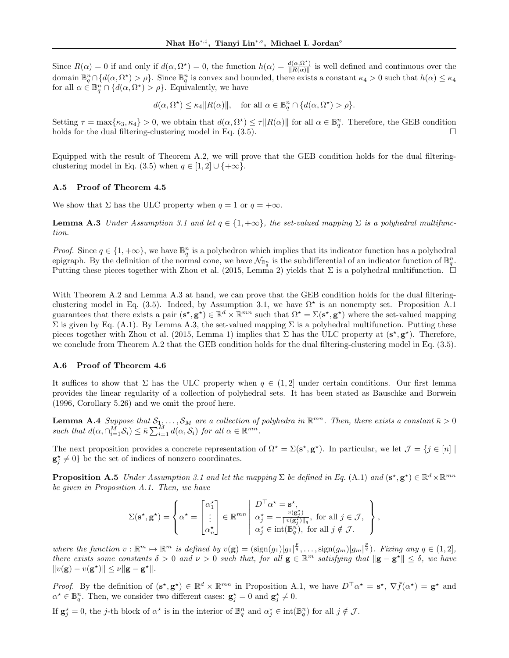Since  $R(\alpha) = 0$  if and only if  $d(\alpha, \Omega^*) = 0$ , the function  $h(\alpha) = \frac{d(\alpha, \Omega^*)}{\|R(\alpha)\|}$  $\frac{d(\alpha, Y)}{\|R(\alpha)\|}$  is well defined and continuous over the domain  $\mathbb{B}_q^n \cap \{d(\alpha,\Omega^*) > \rho\}$ . Since  $\mathbb{B}_q^n$  is convex and bounded, there exists a constant  $\kappa_4 > 0$  such that  $h(\alpha) \leq \kappa_4$ for all  $\alpha \in \mathbb{B}_{q}^{n} \cap \{d(\alpha, \Omega^{\star}) > \rho\}$ . Equivalently, we have

$$
d(\alpha, \Omega^*) \le \kappa_4 ||R(\alpha)||
$$
, for all  $\alpha \in \mathbb{B}_q^n \cap \{d(\alpha, \Omega^*) > \rho\}$ .

Setting  $\tau = \max\{\kappa_3, \kappa_4\} > 0$ , we obtain that  $d(\alpha, \Omega^{\star}) \leq \tau || R(\alpha) ||$  for all  $\alpha \in \mathbb{B}_{q}^n$ . Therefore, the GEB condition holds for the dual filtering-clustering model in Eq.  $(3.5)$ .

Equipped with the result of Theorem A.2, we will prove that the GEB condition holds for the dual filteringclustering model in Eq. (3.5) when  $q \in [1, 2] \cup \{+\infty\}.$ 

### A.5 Proof of Theorem 4.5

We show that  $\Sigma$  has the ULC property when  $q = 1$  or  $q = +\infty$ .

**Lemma A.3** Under Assumption 3.1 and let  $q \in \{1, +\infty\}$ , the set-valued mapping  $\Sigma$  is a polyhedral multifunction.

*Proof.* Since  $q \in \{1, +\infty\}$ , we have  $\mathbb{B}_q^n$  is a polyhedron which implies that its indicator function has a polyhedral epigraph. By the definition of the normal cone, we have  $\mathcal{N}_{\mathbb{B}_q^n}$  is the subdifferential of an indicator function of  $\mathbb{B}_q^n$ . Putting these pieces together with Zhou et al. (2015, Lemma 2) yields that  $\Sigma$  is a polyhedral multifunction.  $\square$ 

With Theorem A.2 and Lemma A.3 at hand, we can prove that the GEB condition holds for the dual filteringclustering model in Eq. (3.5). Indeed, by Assumption 3.1, we have  $\Omega^*$  is an nonempty set. Proposition A.1 guarantees that there exists a pair  $(s^*, g^*) \in \mathbb{R}^d \times \mathbb{R}^{mn}$  such that  $\Omega^* = \Sigma(s^*, g^*)$  where the set-valued mapping  $\Sigma$  is given by Eq. (A.1). By Lemma A.3, the set-valued mapping  $\Sigma$  is a polyhedral multifunction. Putting these pieces together with Zhou et al. (2015, Lemma 1) implies that  $\Sigma$  has the ULC property at  $(s^*, g^*)$ . Therefore, we conclude from Theorem A.2 that the GEB condition holds for the dual filtering-clustering model in Eq.  $(3.5)$ .

### A.6 Proof of Theorem 4.6

It suffices to show that  $\Sigma$  has the ULC property when  $q \in (1,2]$  under certain conditions. Our first lemma provides the linear regularity of a collection of polyhedral sets. It has been stated as Bauschke and Borwein (1996, Corollary 5.26) and we omit the proof here.

**Lemma A.4** Suppose that  $S_1, \ldots, S_M$  are a collection of polyhedra in  $\mathbb{R}^{mn}$ . Then, there exists a constant  $\bar{\kappa} > 0$ such that  $d(\alpha, \bigcap_{i=1}^{\tilde{M}} S_i) \leq \bar{\kappa} \sum_{i=1}^{\tilde{M}} d(\alpha, \tilde{S}_i)$  for all  $\alpha \in \mathbb{R}^{mn}$ .

The next proposition provides a concrete representation of  $\Omega^* = \Sigma(\mathbf{s}^*, \mathbf{g}^*)$ . In particular, we let  $\mathcal{J} = \{j \in [n] \mid \mathbf{g} \in \mathcal{J} \}$  $\mathbf{g}_j^* \neq 0$  be the set of indices of nonzero coordinates.

**Proposition A.5** Under Assumption 3.1 and let the mapping  $\Sigma$  be defined in Eq. (A.1) and  $(\mathbf{s}^*, \mathbf{g}^*) \in \mathbb{R}^d \times \mathbb{R}^{mn}$ be given in Proposition A.1. Then, we have

$$
\Sigma(\mathbf{s}^{\star}, \mathbf{g}^{\star}) = \left\{ \alpha^{\star} = \begin{bmatrix} \alpha_1^{\star} \\ \vdots \\ \alpha_n^{\star} \end{bmatrix} \in \mathbb{R}^{mn} \middle| \begin{array}{l} D^{\top} \alpha^{\star} = \mathbf{s}^{\star}, \\ \alpha_j^{\star} = -\frac{v(\mathbf{g}_j^{\star})}{\|v(\mathbf{g}_j^{\star})\|_q}, \text{ for all } j \in \mathcal{J}, \\ \alpha_j^{\star} \in \text{int}(\mathbb{B}_q^n), \text{ for all } j \notin \mathcal{J}. \end{array} \right\},
$$

where the function  $v : \mathbb{R}^m \to \mathbb{R}^m$  is defined by  $v(g) = (\text{sign}(g_1)|g_1|^{\frac{p}{q}}, \dots, \text{sign}(g_m)|g_m|^{\frac{p}{q}})$ . Fixing any  $q \in (1,2]$ , there exists some constants  $\delta > 0$  and  $\nu > 0$  such that, for all  $\mathbf{g} \in \mathbb{R}^m$  satisfying that  $\|\mathbf{g} - \mathbf{g}^{\star}\| \leq \delta$ , we have  $||v(\mathbf{g}) - v(\mathbf{g}^*)|| \leq \nu ||\mathbf{g} - \mathbf{g}^*||.$ 

*Proof.* By the definition of  $(s^*, g^*) \in \mathbb{R}^d \times \mathbb{R}^{mn}$  in Proposition A.1, we have  $D^{\top} \alpha^* = s^*$ ,  $\nabla \bar{f}(\alpha^*) = g^*$  and  $\alpha^* \in \mathbb{B}_q^n$ . Then, we consider two different cases:  $\mathbf{g}_j^* = 0$  and  $\mathbf{g}_j^* \neq 0$ .

If  $\mathbf{g}_j^* = 0$ , the j-th block of  $\alpha^*$  is in the interior of  $\mathbb{B}_q^n$  and  $\alpha_j^* \in \text{int}(\mathbb{B}_q^n)$  for all  $j \notin \mathcal{J}$ .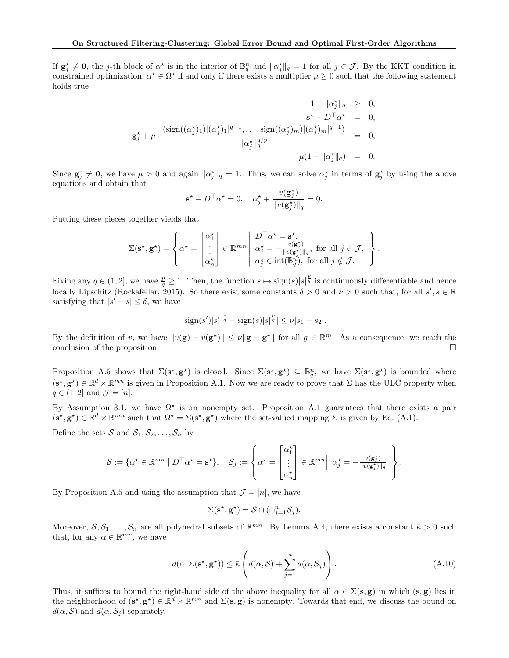If  $g_j^* \neq 0$ , the j-th block of  $\alpha^*$  is in the interior of  $\mathbb{B}_q^n$  and  $\|\alpha_j^*\|_q = 1$  for all  $j \in \mathcal{J}$ . By the KKT condition in constrained optimization,  $\alpha^* \in \Omega^*$  if and only if there exists a multiplier  $\mu \geq 0$  such that the following statement holds true,

$$
1 - \|\alpha_j^{\star}\|_q \geq 0,
$$
  
\n
$$
\mathbf{s}^{\star} - D^{\top} \alpha^{\star} = 0,
$$
  
\n
$$
\mathbf{g}_j^{\star} + \mu \cdot \frac{(\text{sign}((\alpha_j^{\star})_1)|(\alpha_j^{\star})_1|^{q-1}, \dots, \text{sign}((\alpha_j^{\star})_m)|(\alpha_j^{\star})_m|^{q-1})}{\|\alpha_j^{\star}\|_q^{q/p}} = 0,
$$
  
\n
$$
\mu(1 - \|\alpha_j^{\star}\|_q) = 0.
$$

Since  $\mathbf{g}_j^* \neq \mathbf{0}$ , we have  $\mu > 0$  and again  $\|\alpha_j^*\|_q = 1$ . Thus, we can solve  $\alpha_j^*$  in terms of  $\mathbf{g}_j^*$  by using the above equations and obtain that

$$
\mathbf{s}^{\star} - D^{\top} \alpha^{\star} = 0, \quad \alpha_j^{\star} + \frac{v(\mathbf{g}_j^{\star})}{\|v(\mathbf{g}_j^{\star})\|_q} = 0.
$$

Putting these pieces together yields that

$$
\Sigma(\mathbf{s}^{\star}, \mathbf{g}^{\star}) = \left\{ \alpha^{\star} = \begin{bmatrix} \alpha_1^{\star} \\ \vdots \\ \alpha_n^{\star} \end{bmatrix} \in \mathbb{R}^{mn} \middle| \begin{array}{l} D^{\top} \alpha^{\star} = \mathbf{s}^{\star}, \\ \alpha_j^{\star} = -\frac{v(\mathbf{g}_j^{\star})}{\|v(\mathbf{g}_j^{\star})\|_q}, \text{ for all } j \in \mathcal{J}, \\ \alpha_j^{\star} \in \text{int}(\mathbb{B}_q^n), \text{ for all } j \notin \mathcal{J}. \end{array} \right\}.
$$

Fixing any  $q \in (1,2]$ , we have  $\frac{p}{q} \geq 1$ . Then, the function  $s \mapsto \text{sign}(s)|s|^{\frac{p}{q}}$  is continuously differentiable and hence locally Lipschitz (Rockafellar, 2015). So there exist some constants  $\delta > 0$  and  $\nu > 0$  such that, for all  $s', s \in \mathbb{R}$ satisfying that  $|s'-s| \leq \delta$ , we have

$$
|\text{sign}(s')|s'|^{\frac{p}{q}} - \text{sign}(s)|s|^{\frac{p}{q}}| \leq \nu |s_1 - s_2|.
$$

By the definition of v, we have  $||v(\mathbf{g}) - v(\mathbf{g}^*)|| \leq \nu ||\mathbf{g} - \mathbf{g}^*||$  for all  $g \in \mathbb{R}^m$ . As a consequence, we reach the conclusion of the proposition.

Proposition A.5 shows that  $\Sigma(\mathbf{s}^*, \mathbf{g}^*)$  is closed. Since  $\Sigma(\mathbf{s}^*, \mathbf{g}^*) \subseteq \mathbb{B}_q^n$ , we have  $\Sigma(\mathbf{s}^*, \mathbf{g}^*)$  is bounded where  $(\mathbf{s}^*, \mathbf{g}^*) \in \mathbb{R}^d \times \mathbb{R}^{mn}$  is given in Proposition A.1. Now we are ready to prove that  $\Sigma$  has the ULC property when  $q \in (1, 2]$  and  $\mathcal{J} = [n]$ .

By Assumption 3.1, we have  $\Omega^*$  is an nonempty set. Proposition A.1 guarantees that there exists a pair  $(\mathbf{s}^*, \mathbf{g}^*) \in \mathbb{R}^d \times \mathbb{R}^{mn}$  such that  $\Omega^* = \Sigma(\mathbf{s}^*, \mathbf{g}^*)$  where the set-valued mapping  $\Sigma$  is given by Eq. (A.1).

Define the sets  $S$  and  $S_1, S_2, \ldots, S_n$  by

$$
\mathcal{S} := \{ \alpha^{\star} \in \mathbb{R}^{mn} \mid D^{\top} \alpha^{\star} = \mathbf{s}^{\star} \}, \quad \mathcal{S}_j := \left\{ \alpha^{\star} = \begin{bmatrix} \alpha_1^{\star} \\ \vdots \\ \alpha_n^{\star} \end{bmatrix} \in \mathbb{R}^{mn} \middle| \alpha_j^{\star} = -\frac{v(\mathbf{g}_j^{\star})}{\|v(\mathbf{g}_j^{\star})\|_q} \right\}.
$$

By Proposition A.5 and using the assumption that  $\mathcal{J} = [n]$ , we have

$$
\Sigma(\mathbf{s}^{\star}, \mathbf{g}^{\star}) = \mathcal{S} \cap (\cap_{j=1}^{n} \mathcal{S}_{j}).
$$

Moreover,  $S, S_1, \ldots, S_n$  are all polyhedral subsets of  $\mathbb{R}^{mn}$ . By Lemma A.4, there exists a constant  $\bar{\kappa} > 0$  such that, for any  $\alpha \in \mathbb{R}^{mn}$ , we have

$$
d(\alpha, \Sigma(\mathbf{s}^*, \mathbf{g}^*)) \le \bar{\kappa} \left( d(\alpha, \mathcal{S}) + \sum_{j=1}^n d(\alpha, \mathcal{S}_j) \right). \tag{A.10}
$$

Thus, it suffices to bound the right-hand side of the above inequality for all  $\alpha \in \Sigma(\mathbf{s}, \mathbf{g})$  in which  $(\mathbf{s}, \mathbf{g})$  lies in the neighborhood of  $(s^*, g^*) \in \mathbb{R}^d \times \mathbb{R}^{mn}$  and  $\Sigma(s, g)$  is nonempty. Towards that end, we discuss the bound on  $d(\alpha, \mathcal{S})$  and  $d(\alpha, \mathcal{S}_i)$  separately.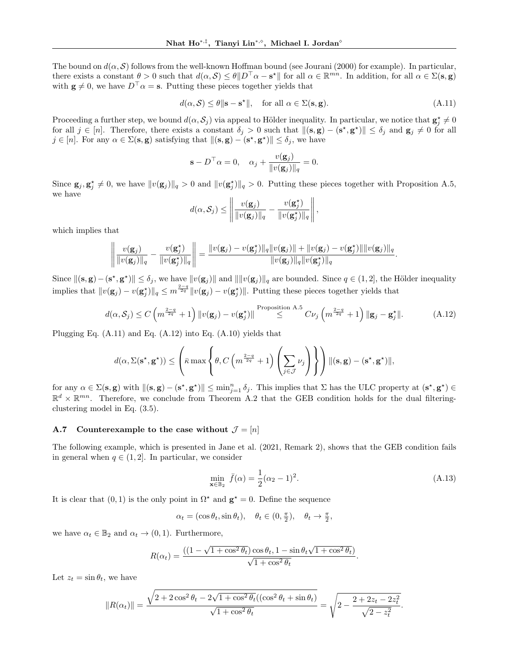The bound on  $d(\alpha, \mathcal{S})$  follows from the well-known Hoffman bound (see Jourani (2000) for example). In particular, there exists a constant  $\theta > 0$  such that  $d(\alpha, \mathcal{S}) \leq \theta \| D^{\top} \alpha - \mathbf{s}^* \|$  for all  $\alpha \in \mathbb{R}^{mn}$ . In addition, for all  $\alpha \in \Sigma(\mathbf{s}, \mathbf{g})$ with  $\mathbf{g} \neq 0$ , we have  $D^{\top} \alpha = \mathbf{s}$ . Putting these pieces together yields that

$$
d(\alpha, \mathcal{S}) \le \theta \|\mathbf{s} - \mathbf{s}^{\star}\|, \quad \text{for all } \alpha \in \Sigma(\mathbf{s}, \mathbf{g}). \tag{A.11}
$$

Proceeding a further step, we bound  $d(\alpha, S_j)$  via appeal to Hölder inequality. In particular, we notice that  $\mathbf{g}_j^* \neq 0$ for all  $j \in [n]$ . Therefore, there exists a constant  $\delta_j > 0$  such that  $\|(\mathbf{s}, \mathbf{g}) - (\mathbf{s}^*, \mathbf{g}^*)\| \leq \delta_j$  and  $\mathbf{g}_j \neq 0$  for all  $j \in [n]$ . For any  $\alpha \in \Sigma(\mathbf{s}, \mathbf{g})$  satisfying that  $\|(\mathbf{s}, \mathbf{g}) - (\mathbf{s}^*, \mathbf{g}^*)\| \leq \delta_j$ , we have

$$
\mathbf{s} - D^{\top} \alpha = 0, \quad \alpha_j + \frac{v(\mathbf{g}_j)}{\|v(\mathbf{g}_j)\|_q} = 0.
$$

Since  $\mathbf{g}_j, \mathbf{g}_j^* \neq 0$ , we have  $||v(\mathbf{g}_j)||_q > 0$  and  $||v(\mathbf{g}_j^*)||_q > 0$ . Putting these pieces together with Proposition A.5, we have

$$
d(\alpha, S_j) \leq \left\| \frac{v(\mathbf{g}_j)}{\|v(\mathbf{g}_j)\|_q} - \frac{v(\mathbf{g}_j^*)}{\|v(\mathbf{g}_j^*)\|_q} \right\|,
$$

which implies that

$$
\left\|\frac{v(\mathbf{g}_j)}{\|v(\mathbf{g}_j)\|_q} - \frac{v(\mathbf{g}_j^*)}{\|v(\mathbf{g}_j^*)\|_q}\right\| = \frac{\|v(\mathbf{g}_j) - v(\mathbf{g}_j^*)\|_q \|v(\mathbf{g}_j)\| + \|v(\mathbf{g}_j) - v(\mathbf{g}_j^*)\| \|v(\mathbf{g}_j)\|_q}{\|v(\mathbf{g}_j)\|_q \|v(\mathbf{g}_j^*)\|_q}.
$$

Since  $\|(\mathbf{s}, \mathbf{g}) - (\mathbf{s}^*, \mathbf{g}^*)\| \le \delta_j$ , we have  $\|v(\mathbf{g}_j)\|$  and  $\|\|v(\mathbf{g}_j)\|_q$  are bounded. Since  $q \in (1, 2]$ , the Hölder inequality implies that  $||v(\mathbf{g}_j) - v(\mathbf{g}_j^*)||_q \leq m^{\frac{2-q}{2q}} ||v(\mathbf{g}_j) - v(\mathbf{g}_j^*)||$ . Putting these pieces together yields that

$$
d(\alpha, \mathcal{S}_j) \le C \left( m^{\frac{2-q}{2q}} + 1 \right) \left\| v(\mathbf{g}_j) - v(\mathbf{g}_j^*) \right\|^{Proposition A.5} \le C \nu_j \left( m^{\frac{2-q}{2q}} + 1 \right) \|\mathbf{g}_j - \mathbf{g}_j^* \|.
$$
 (A.12)

Plugging Eq. (A.11) and Eq. (A.12) into Eq. (A.10) yields that

$$
d(\alpha, \Sigma(\mathbf{s}^{\star}, \mathbf{g}^{\star})) \leq \left(\bar{\kappa} \max \left\{\theta, C\left(m^{\frac{2-q}{2q}} + 1\right) \left(\sum_{j \in \mathcal{J}} \nu_j\right) \right\}\right) ||(\mathbf{s}, \mathbf{g}) - (\mathbf{s}^{\star}, \mathbf{g}^{\star})||,
$$

for any  $\alpha \in \Sigma(\mathbf{s}, \mathbf{g})$  with  $\|(\mathbf{s}, \mathbf{g}) - (\mathbf{s}^*, \mathbf{g}^*)\| \le \min_{j=1}^n \delta_j$ . This implies that  $\Sigma$  has the ULC property at  $(\mathbf{s}^*, \mathbf{g}^*) \in$  $\mathbb{R}^d \times \mathbb{R}^{mn}$ . Therefore, we conclude from Theorem A.2 that the GEB condition holds for the dual filteringclustering model in Eq. (3.5).

## A.7 Counterexample to the case without  $\mathcal{J} = [n]$

The following example, which is presented in Jane et al. (2021, Remark 2), shows that the GEB condition fails in general when  $q \in (1, 2]$ . In particular, we consider

$$
\min_{\mathbf{x} \in \mathbb{B}_2} \bar{f}(\alpha) = \frac{1}{2} (\alpha_2 - 1)^2.
$$
\n(A.13)

.

It is clear that  $(0, 1)$  is the only point in  $\Omega^*$  and  $\mathbf{g}^* = 0$ . Define the sequence

$$
\alpha_t = (\cos \theta_t, \sin \theta_t), \quad \theta_t \in (0, \frac{\pi}{2}), \quad \theta_t \to \frac{\pi}{2},
$$

we have  $\alpha_t \in \mathbb{B}_2$  and  $\alpha_t \to (0, 1)$ . Furthermore,

$$
R(\alpha_t) = \frac{((1 - \sqrt{1 + \cos^2 \theta_t}) \cos \theta_t, 1 - \sin \theta_t \sqrt{1 + \cos^2 \theta_t})}{\sqrt{1 + \cos^2 \theta_t}}
$$

Let  $z_t = \sin \theta_t$ , we have

$$
||R(\alpha_t)|| = \frac{\sqrt{2 + 2\cos^2\theta_t - 2\sqrt{1 + \cos^2\theta_t}((\cos^2\theta_t + \sin\theta_t))}}{\sqrt{1 + \cos^2\theta_t}} = \sqrt{2 - \frac{2 + 2z_t - 2z_t^2}{\sqrt{2 - z_t^2}}}.
$$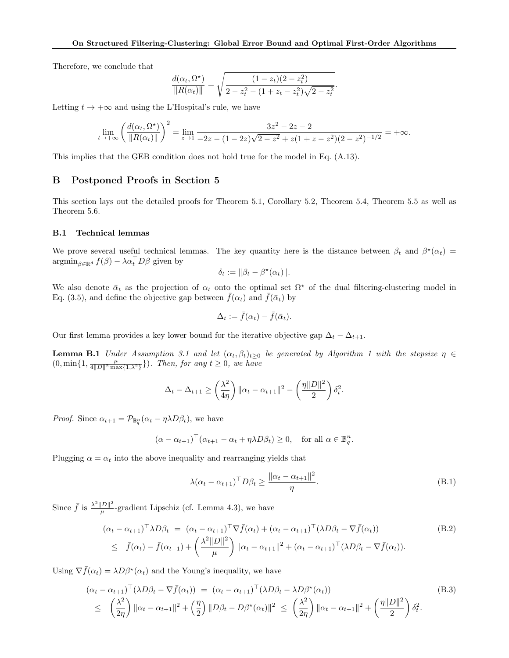Therefore, we conclude that

$$
\frac{d(\alpha_t, \Omega^*)}{\|R(\alpha_t)\|} = \sqrt{\frac{(1 - z_t)(2 - z_t^2)}{2 - z_t^2 - (1 + z_t - z_t^2)\sqrt{2 - z_t^2}}}
$$

.

Letting  $t \to +\infty$  and using the L'Hospital's rule, we have

$$
\lim_{t \to +\infty} \left( \frac{d(\alpha_t, \Omega^*)}{\|R(\alpha_t)\|} \right)^2 = \lim_{z \to 1} \frac{3z^2 - 2z - 2}{-2z - (1 - 2z)\sqrt{2 - z^2} + z(1 + z - z^2)(2 - z^2)^{-1/2}} = +\infty.
$$

This implies that the GEB condition does not hold true for the model in Eq. (A.13).

# B Postponed Proofs in Section 5

This section lays out the detailed proofs for Theorem 5.1, Corollary 5.2, Theorem 5.4, Theorem 5.5 as well as Theorem 5.6.

### B.1 Technical lemmas

We prove several useful technical lemmas. The key quantity here is the distance between  $\beta_t$  and  $\beta^*(\alpha_t)$  $\operatorname{argmin}_{\beta \in \mathbb{R}^d} f(\beta) - \lambda \alpha_t^\top D \beta$  given by

$$
\delta_t := \|\beta_t - \beta^\star(\alpha_t)\|.
$$

We also denote  $\bar{\alpha}_t$  as the projection of  $\alpha_t$  onto the optimal set  $\Omega^*$  of the dual filtering-clustering model in Eq. (3.5), and define the objective gap between  $\bar{f}(\alpha_t)$  and  $\bar{f}(\bar{\alpha}_t)$  by

$$
\Delta_t := \bar{f}(\alpha_t) - \bar{f}(\bar{\alpha}_t).
$$

Our first lemma provides a key lower bound for the iterative objective gap  $\Delta_t - \Delta_{t+1}$ .

**Lemma B.1** Under Assumption 3.1 and let  $(\alpha_t, \beta_t)_{t\geq 0}$  be generated by Algorithm 1 with the stepsize  $\eta \in$  $(0, \min\{1, \frac{\mu}{4||D||^2 \max\{1,\lambda^2\}}\})$ . Then, for any  $t \geq 0$ , we have

$$
\Delta_t - \Delta_{t+1} \ge \left(\frac{\lambda^2}{4\eta}\right) \|\alpha_t - \alpha_{t+1}\|^2 - \left(\frac{\eta \|D\|^2}{2}\right) \delta_t^2.
$$

*Proof.* Since  $\alpha_{t+1} = \mathcal{P}_{\mathbb{B}_{q}^{n}}(\alpha_{t} - \eta \lambda D \beta_{t}),$  we have

$$
(\alpha - \alpha_{t+1})^{\top}(\alpha_{t+1} - \alpha_t + \eta \lambda D\beta_t) \ge 0
$$
, for all  $\alpha \in \mathbb{B}_q^n$ .

Plugging  $\alpha = \alpha_t$  into the above inequality and rearranging yields that

$$
\lambda(\alpha_t - \alpha_{t+1})^{\top} D\beta_t \ge \frac{\|\alpha_t - \alpha_{t+1}\|^2}{\eta}.
$$
\n(B.1)

Since  $\bar{f}$  is  $\frac{\lambda^2 ||D||^2}{\mu}$  $\frac{D\|\Gamma}{\mu}$ -gradient Lipschiz (cf. Lemma 4.3), we have

$$
(\alpha_t - \alpha_{t+1})^\top \lambda D\beta_t = (\alpha_t - \alpha_{t+1})^\top \nabla \bar{f}(\alpha_t) + (\alpha_t - \alpha_{t+1})^\top (\lambda D\beta_t - \nabla \bar{f}(\alpha_t))
$$
(B.2)  

$$
\leq \bar{f}(\alpha_t) - \bar{f}(\alpha_{t+1}) + \left(\frac{\lambda^2 ||D||^2}{\mu}\right) ||\alpha_t - \alpha_{t+1}||^2 + (\alpha_t - \alpha_{t+1})^\top (\lambda D\beta_t - \nabla \bar{f}(\alpha_t)).
$$

Using  $\nabla \bar{f}(\alpha_t) = \lambda D\beta^*(\alpha_t)$  and the Young's inequality, we have

$$
(\alpha_t - \alpha_{t+1})^{\top} (\lambda D\beta_t - \nabla \bar{f}(\alpha_t)) = (\alpha_t - \alpha_{t+1})^{\top} (\lambda D\beta_t - \lambda D\beta^*(\alpha_t))
$$
\n
$$
\leq \left(\frac{\lambda^2}{2\eta}\right) \|\alpha_t - \alpha_{t+1}\|^2 + \left(\frac{\eta}{2}\right) \|D\beta_t - D\beta^*(\alpha_t)\|^2 \leq \left(\frac{\lambda^2}{2\eta}\right) \|\alpha_t - \alpha_{t+1}\|^2 + \left(\frac{\eta \|D\|^2}{2}\right) \delta_t^2.
$$
\n(B.3)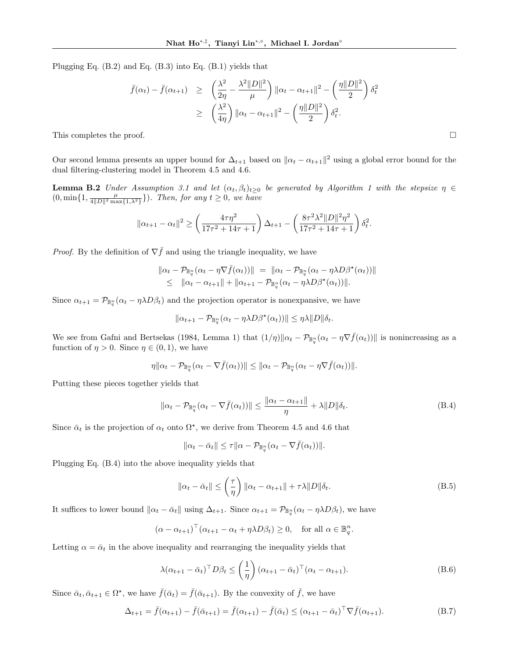Plugging Eq. (B.2) and Eq. (B.3) into Eq. (B.1) yields that

$$
\bar{f}(\alpha_t) - \bar{f}(\alpha_{t+1}) \geq \left(\frac{\lambda^2}{2\eta} - \frac{\lambda^2 ||D||^2}{\mu}\right) ||\alpha_t - \alpha_{t+1}||^2 - \left(\frac{\eta ||D||^2}{2}\right) \delta_t^2
$$
\n
$$
\geq \left(\frac{\lambda^2}{4\eta}\right) ||\alpha_t - \alpha_{t+1}||^2 - \left(\frac{\eta ||D||^2}{2}\right) \delta_t^2.
$$
\nThis completes the proof.

Our second lemma presents an upper bound for  $\Delta_{t+1}$  based on  $\|\alpha_t - \alpha_{t+1}\|^2$  using a global error bound for the dual filtering-clustering model in Theorem 4.5 and 4.6.

**Lemma B.2** Under Assumption 3.1 and let  $(\alpha_t, \beta_t)_{t\geq 0}$  be generated by Algorithm 1 with the stepsize  $\eta \in$  $(0, \min\{1, \frac{\mu}{4||D||^2 \max\{1,\lambda^2\}}\})$ . Then, for any  $t \geq 0$ , we have

$$
\|\alpha_{t+1} - \alpha_t\|^2 \ge \left(\frac{4\tau\eta^2}{17\tau^2 + 14\tau + 1}\right) \Delta_{t+1} - \left(\frac{8\tau^2\lambda^2 \|D\|^2\eta^2}{17\tau^2 + 14\tau + 1}\right) \delta_t^2.
$$

*Proof.* By the definition of  $\nabla \bar{f}$  and using the triangle inequality, we have

$$
\begin{array}{ll}\n\|\alpha_t - \mathcal{P}_{\mathbb{B}_q^n}(\alpha_t - \eta \nabla \bar{f}(\alpha_t))\| = \|\alpha_t - \mathcal{P}_{\mathbb{B}_q^n}(\alpha_t - \eta \lambda D\beta^{\star}(\alpha_t))\| \\
\leq \|\alpha_t - \alpha_{t+1}\| + \|\alpha_{t+1} - \mathcal{P}_{\mathbb{B}_q^n}(\alpha_t - \eta \lambda D\beta^{\star}(\alpha_t))\|.\n\end{array}
$$

Since  $\alpha_{t+1} = \mathcal{P}_{\mathbb{B}_q^n}(\alpha_t - \eta \lambda D \beta_t)$  and the projection operator is nonexpansive, we have

$$
\|\alpha_{t+1} - \mathcal{P}_{\mathbb{B}_q^n}(\alpha_t - \eta \lambda D\beta^{\star}(\alpha_t))\| \leq \eta \lambda \|D\|\delta_t.
$$

We see from Gafni and Bertsekas (1984, Lemma 1) that  $(1/\eta) \|\alpha_t - \mathcal{P}_{\mathbb{B}_q^n}(\alpha_t - \eta \nabla \bar{f}(\alpha_t))\|$  is nonincreasing as a function of  $\eta > 0$ . Since  $\eta \in (0, 1)$ , we have

$$
\eta \|\alpha_t-\mathcal{P}_{\mathbb{B}_q^n}(\alpha_t-\nabla \bar{f}(\alpha_t))\| \leq \|\alpha_t-\mathcal{P}_{\mathbb{B}_q^n}(\alpha_t-\eta \nabla \bar{f}(\alpha_t))\|.
$$

Putting these pieces together yields that

$$
\|\alpha_t - \mathcal{P}_{\mathbb{B}_q^n}(\alpha_t - \nabla \bar{f}(\alpha_t))\| \le \frac{\|\alpha_t - \alpha_{t+1}\|}{\eta} + \lambda \|D\|\delta_t.
$$
 (B.4)

Since  $\bar{\alpha}_t$  is the projection of  $\alpha_t$  onto  $\Omega^*$ , we derive from Theorem 4.5 and 4.6 that

$$
\|\alpha_t - \bar{\alpha}_t\| \leq \tau \|\alpha - \mathcal{P}_{\mathbb{B}_q^n}(\alpha_t - \nabla \bar{f}(\alpha_t))\|.
$$

Plugging Eq. (B.4) into the above inequality yields that

$$
\|\alpha_t - \bar{\alpha}_t\| \le \left(\frac{\tau}{\eta}\right) \|\alpha_t - \alpha_{t+1}\| + \tau \lambda \|D\| \delta_t.
$$
 (B.5)

It suffices to lower bound  $\|\alpha_t - \bar{\alpha}_t\|$  using  $\Delta_{t+1}$ . Since  $\alpha_{t+1} = \mathcal{P}_{\mathbb{B}_q^n}(\alpha_t - \eta \lambda D\beta_t)$ , we have

$$
(\alpha - \alpha_{t+1})^{\top}(\alpha_{t+1} - \alpha_t + \eta \lambda D \beta_t) \ge 0, \text{ for all } \alpha \in \mathbb{B}_q^n.
$$

Letting  $\alpha = \bar{\alpha}_t$  in the above inequality and rearranging the inequality yields that

$$
\lambda(\alpha_{t+1} - \bar{\alpha}_t)^\top D \beta_t \le \left(\frac{1}{\eta}\right) (\alpha_{t+1} - \bar{\alpha}_t)^\top (\alpha_t - \alpha_{t+1}).
$$
\n(B.6)

Since  $\bar{\alpha}_t, \bar{\alpha}_{t+1} \in \Omega^*$ , we have  $\bar{f}(\bar{\alpha}_t) = \bar{f}(\bar{\alpha}_{t+1})$ . By the convexity of  $\bar{f}$ , we have

$$
\Delta_{t+1} = \bar{f}(\alpha_{t+1}) - \bar{f}(\bar{\alpha}_{t+1}) = \bar{f}(\alpha_{t+1}) - \bar{f}(\bar{\alpha}_{t}) \leq (\alpha_{t+1} - \bar{\alpha}_{t})^{\top} \nabla \bar{f}(\alpha_{t+1}).
$$
\n(B.7)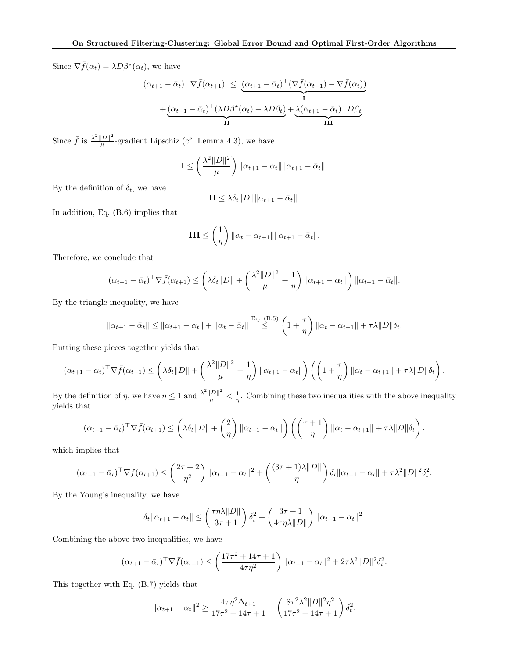Since  $\nabla \bar{f}(\alpha_t) = \lambda D\beta^*(\alpha_t)$ , we have

$$
(\alpha_{t+1} - \bar{\alpha}_t)^{\top} \nabla \bar{f}(\alpha_{t+1}) \leq (\alpha_{t+1} - \bar{\alpha}_t)^{\top} (\nabla \bar{f}(\alpha_{t+1}) - \nabla \bar{f}(\alpha_t))
$$

$$
+ (\alpha_{t+1} - \bar{\alpha}_t)^{\top} (\lambda D \beta^{\star}(\alpha_t) - \lambda D \beta_t) + \lambda (\alpha_{t+1} - \bar{\alpha}_t)^{\top} D \beta_t.
$$

Since  $\bar{f}$  is  $\frac{\lambda^2 ||D||^2}{\mu}$  $\frac{D_{\parallel}}{\mu}$ -gradient Lipschiz (cf. Lemma 4.3), we have

$$
\mathbf{I} \leq \left(\frac{\lambda^2 ||D||^2}{\mu}\right) ||\alpha_{t+1} - \alpha_t|| ||\alpha_{t+1} - \bar{\alpha}_t||.
$$

By the definition of  $\delta_t$ , we have

$$
\mathbf{II} \leq \lambda \delta_t ||D|| ||\alpha_{t+1} - \bar{\alpha}_t||.
$$

In addition, Eq. (B.6) implies that

$$
III \leq \left(\frac{1}{\eta}\right) \|\alpha_t - \alpha_{t+1}\| \|\alpha_{t+1} - \bar{\alpha}_t\|.
$$

Therefore, we conclude that

$$
(\alpha_{t+1} - \bar{\alpha}_t)^{\top} \nabla \bar{f}(\alpha_{t+1}) \leq \left(\lambda \delta_t \|D\| + \left(\frac{\lambda^2 \|D\|^2}{\mu} + \frac{1}{\eta}\right) \|\alpha_{t+1} - \alpha_t\|\right) \|\alpha_{t+1} - \bar{\alpha}_t\|.
$$

By the triangle inequality, we have

$$
\|\alpha_{t+1} - \bar{\alpha}_t\| \le \|\alpha_{t+1} - \alpha_t\| + \|\alpha_t - \bar{\alpha}_t\| \overset{\text{Eq. (B.5)}}{\le} \left(1 + \frac{\tau}{\eta}\right) \|\alpha_t - \alpha_{t+1}\| + \tau\lambda \|D\|\delta_t.
$$

Putting these pieces together yields that

$$
(\alpha_{t+1} - \bar{\alpha}_t)^{\top} \nabla \bar{f}(\alpha_{t+1}) \leq \left(\lambda \delta_t \|D\| + \left(\frac{\lambda^2 \|D\|^2}{\mu} + \frac{1}{\eta}\right) \|\alpha_{t+1} - \alpha_t\|\right) \left(\left(1 + \frac{\tau}{\eta}\right) \|\alpha_t - \alpha_{t+1}\| + \tau \lambda \|D\| \delta_t\right).
$$

By the definition of  $\eta$ , we have  $\eta \leq 1$  and  $\frac{\lambda^2 ||D||^2}{\mu} < \frac{1}{\eta}$ . Combining these two inequalities with the above inequality yields that

$$
(\alpha_{t+1} - \bar{\alpha}_t)^{\top} \nabla \bar{f}(\alpha_{t+1}) \leq \left(\lambda \delta_t \|D\| + \left(\frac{2}{\eta}\right) \|\alpha_{t+1} - \alpha_t\|\right) \left(\left(\frac{\tau + 1}{\eta}\right) \|\alpha_t - \alpha_{t+1}\| + \tau \lambda \|D\| \delta_t\right).
$$

which implies that

$$
(\alpha_{t+1} - \bar{\alpha}_t)^{\top} \nabla \bar{f}(\alpha_{t+1}) \leq \left(\frac{2\tau + 2}{\eta^2}\right) \|\alpha_{t+1} - \alpha_t\|^2 + \left(\frac{(3\tau + 1)\lambda \|D\|}{\eta}\right) \delta_t \|\alpha_{t+1} - \alpha_t\| + \tau \lambda^2 \|D\|^2 \delta_t^2.
$$

By the Young's inequality, we have

$$
\delta_t \|\alpha_{t+1} - \alpha_t\| \le \left(\frac{\tau \eta \lambda \|D\|}{3\tau + 1}\right) \delta_t^2 + \left(\frac{3\tau + 1}{4\tau \eta \lambda \|D\|}\right) \|\alpha_{t+1} - \alpha_t\|^2.
$$

Combining the above two inequalities, we have

$$
(\alpha_{t+1} - \bar{\alpha}_t)^{\top} \nabla \bar{f}(\alpha_{t+1}) \le \left(\frac{17\tau^2 + 14\tau + 1}{4\tau\eta^2}\right) \|\alpha_{t+1} - \alpha_t\|^2 + 2\tau\lambda^2 \|D\|^2 \delta_t^2.
$$

This together with Eq. (B.7) yields that

$$
\|\alpha_{t+1} - \alpha_t\|^2 \ge \frac{4\tau\eta^2\Delta_{t+1}}{17\tau^2 + 14\tau + 1} - \left(\frac{8\tau^2\lambda^2 \|D\|^2\eta^2}{17\tau^2 + 14\tau + 1}\right)\delta_t^2.
$$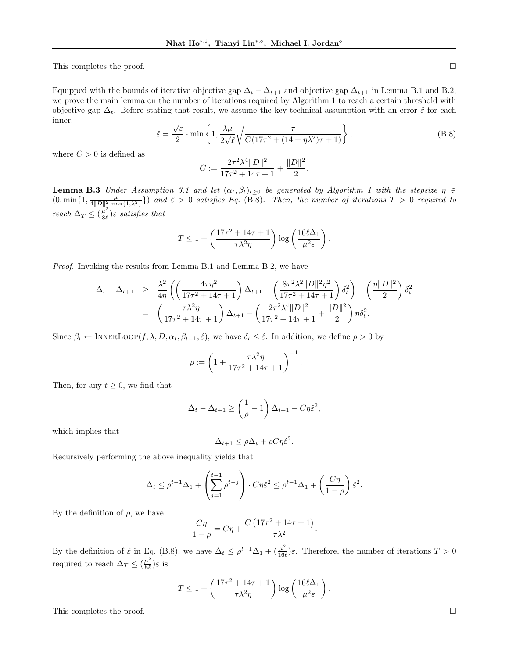This completes the proof.  $\Box$ 

Equipped with the bounds of iterative objective gap  $\Delta_t - \Delta_{t+1}$  and objective gap  $\Delta_{t+1}$  in Lemma B.1 and B.2, we prove the main lemma on the number of iterations required by Algorithm 1 to reach a certain threshold with objective gap  $\Delta_t$ . Before stating that result, we assume the key technical assumption with an error  $\hat{\varepsilon}$  for each inner. √

$$
\hat{\varepsilon} = \frac{\sqrt{\varepsilon}}{2} \cdot \min\left\{1, \frac{\lambda \mu}{2\sqrt{\ell}} \sqrt{\frac{\tau}{C(17\tau^2 + (14 + \eta \lambda^2)\tau + 1)}}\right\},\tag{B.8}
$$

where  $C > 0$  is defined as

$$
C:=\frac{2\tau^2\lambda^4\|D\|^2}{17\tau^2+14\tau+1}+\frac{\|D\|^2}{2}.
$$

**Lemma B.3** Under Assumption 3.1 and let  $(\alpha_t, \beta_t)_{t>0}$  be generated by Algorithm 1 with the stepsize  $\eta \in$  $(0, \min\{1, \frac{\mu}{4||D||^2 \max\{1, \lambda^2\}}\})$  and  $\hat{\varepsilon} > 0$  satisfies Eq. (B.8). Then, the number of iterations  $T > 0$  required to reach  $\Delta_T \leq (\frac{\mu^2}{8\ell})$  $\frac{\mu}{8\ell}$ )ε satisfies that

$$
T \le 1 + \left(\frac{17\tau^2 + 14\tau + 1}{\tau\lambda^2\eta}\right) \log\left(\frac{16\ell\Delta_1}{\mu^2 \varepsilon}\right).
$$

Proof. Invoking the results from Lemma B.1 and Lemma B.2, we have

$$
\Delta_t - \Delta_{t+1} \geq \frac{\lambda^2}{4\eta} \left( \left( \frac{4\tau\eta^2}{17\tau^2 + 14\tau + 1} \right) \Delta_{t+1} - \left( \frac{8\tau^2\lambda^2 ||D||^2\eta^2}{17\tau^2 + 14\tau + 1} \right) \delta_t^2 \right) - \left( \frac{\eta ||D||^2}{2} \right) \delta_t^2
$$
  
=  $\left( \frac{\tau\lambda^2\eta}{17\tau^2 + 14\tau + 1} \right) \Delta_{t+1} - \left( \frac{2\tau^2\lambda^4 ||D||^2}{17\tau^2 + 14\tau + 1} + \frac{||D||^2}{2} \right) \eta \delta_t^2.$ 

Since  $\beta_t \leftarrow \text{INNERLoop}(f, \lambda, D, \alpha_t, \beta_{t-1}, \hat{\varepsilon})$ , we have  $\delta_t \leq \hat{\varepsilon}$ . In addition, we define  $\rho > 0$  by

$$
\rho := \left( 1 + \frac{\tau \lambda^2 \eta}{17\tau^2 + 14\tau + 1} \right)^{-1}.
$$

Then, for any  $t \geq 0$ , we find that

$$
\Delta_t - \Delta_{t+1} \ge \left(\frac{1}{\rho} - 1\right) \Delta_{t+1} - C\eta \hat{\varepsilon}^2,
$$

which implies that

$$
\Delta_{t+1} \leq \rho \Delta_t + \rho C \eta \hat{\varepsilon}^2.
$$

Recursively performing the above inequality yields that

$$
\Delta_t \le \rho^{t-1} \Delta_1 + \left(\sum_{j=1}^{t-1} \rho^{t-j}\right) \cdot C\eta \hat{\varepsilon}^2 \le \rho^{t-1} \Delta_1 + \left(\frac{C\eta}{1-\rho}\right) \hat{\varepsilon}^2.
$$

By the definition of  $\rho$ , we have

$$
\frac{C\eta}{1-\rho} = C\eta + \frac{C\left(17\tau^2 + 14\tau + 1\right)}{\tau\lambda^2}.
$$

By the definition of  $\hat{\varepsilon}$  in Eq. (B.8), we have  $\Delta_t \leq \rho^{t-1}\Delta_1 + (\frac{\mu^2}{160})^2$  $\frac{\mu^2}{16\ell}$ ) $\varepsilon$ . Therefore, the number of iterations  $T > 0$ required to reach  $\Delta_T \leq (\frac{\mu^2}{8\rho})$  $\frac{\mu}{8\ell}$ ) $\varepsilon$  is

$$
T \le 1 + \left(\frac{17\tau^2 + 14\tau + 1}{\tau\lambda^2\eta}\right) \log\left(\frac{16\ell\Delta_1}{\mu^2 \varepsilon}\right).
$$

This completes the proof.  $\Box$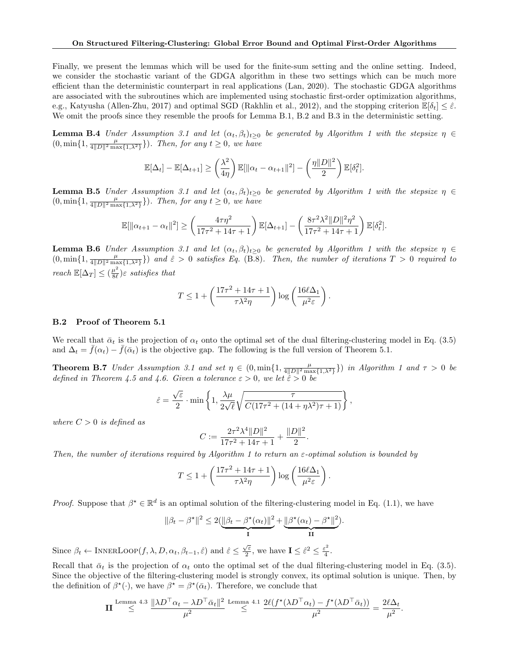Finally, we present the lemmas which will be used for the finite-sum setting and the online setting. Indeed, we consider the stochastic variant of the GDGA algorithm in these two settings which can be much more efficient than the deterministic counterpart in real applications (Lan, 2020). The stochastic GDGA algorithms are associated with the subroutines which are implemented using stochastic first-order optimization algorithms, e.g., Katyusha (Allen-Zhu, 2017) and optimal SGD (Rakhlin et al., 2012), and the stopping criterion  $\mathbb{E}[\delta_t] \leq \hat{\varepsilon}$ . We omit the proofs since they resemble the proofs for Lemma B.1, B.2 and B.3 in the deterministic setting.

**Lemma B.4** Under Assumption 3.1 and let  $(\alpha_t, \beta_t)_{t\geq 0}$  be generated by Algorithm 1 with the stepsize  $\eta \in$  $(0, \min\{1, \frac{\mu}{4||D||^2 \max\{1,\lambda^2\}}\})$ . Then, for any  $t \geq 0$ , we have

$$
\mathbb{E}[\Delta_t] - \mathbb{E}[\Delta_{t+1}] \ge \left(\frac{\lambda^2}{4\eta}\right) \mathbb{E}[\|\alpha_t - \alpha_{t+1}\|^2] - \left(\frac{\eta \|D\|^2}{2}\right) \mathbb{E}[\delta_t^2].
$$

**Lemma B.5** Under Assumption 3.1 and let  $(\alpha_t, \beta_t)_{t\geq 0}$  be generated by Algorithm 1 with the stepsize  $\eta \in$  $(0, \min\{1, \frac{\mu}{4||D||^2 \max\{1,\lambda^2\}}\})$ . Then, for any  $t \geq 0$ , we have

$$
\mathbb{E}[\|\alpha_{t+1} - \alpha_t\|^2] \ge \left(\frac{4\tau\eta^2}{17\tau^2 + 14\tau + 1}\right) \mathbb{E}[\Delta_{t+1}] - \left(\frac{8\tau^2\lambda^2 \|D\|^2\eta^2}{17\tau^2 + 14\tau + 1}\right) \mathbb{E}[\delta_t^2].
$$

**Lemma B.6** Under Assumption 3.1 and let  $(\alpha_t, \beta_t)_{t>0}$  be generated by Algorithm 1 with the stepsize  $\eta \in$  $(0, \min\{1, \frac{\mu}{4||D||^2 \max\{1,\lambda^2\}}\})$  and  $\hat{\varepsilon} > 0$  satisfies Eq. (B.8). Then, the number of iterations  $T > 0$  required to reach  $\mathbb{E}[\Delta_T] \leq (\frac{\mu^2}{8\ell})$  $\frac{\mu^2}{8\ell}$ )ε satisfies that

$$
T \le 1 + \left(\frac{17\tau^2 + 14\tau + 1}{\tau\lambda^2\eta}\right) \log\left(\frac{16\ell\Delta_1}{\mu^2 \varepsilon}\right).
$$

#### B.2 Proof of Theorem 5.1

We recall that  $\bar{\alpha}_t$  is the projection of  $\alpha_t$  onto the optimal set of the dual filtering-clustering model in Eq. (3.5) and  $\Delta_t = f(\alpha_t) - f(\bar{\alpha}_t)$  is the objective gap. The following is the full version of Theorem 5.1.

**Theorem B.7** Under Assumption 3.1 and set  $\eta \in (0, \min\{1, \frac{\mu}{4||D||^2 \max\{1, \lambda^2\}}\})$  in Algorithm 1 and  $\tau > 0$  be defined in Theorem 4.5 and 4.6. Given a tolerance  $\varepsilon > 0$ , we let  $\hat{\varepsilon} > 0$  be

$$
\hat{\varepsilon} = \frac{\sqrt{\varepsilon}}{2} \cdot \min \left\{ 1, \frac{\lambda \mu}{2\sqrt{\ell}} \sqrt{\frac{\tau}{C(17\tau^2 + (14 + \eta \lambda^2)\tau + 1)}} \right\},\,
$$

where  $C > 0$  is defined as

$$
C := \frac{2\tau^2 \lambda^4 ||D||^2}{17\tau^2 + 14\tau + 1} + \frac{||D||^2}{2}.
$$

Then, the number of iterations required by Algorithm 1 to return an  $\varepsilon$ -optimal solution is bounded by

$$
T \le 1 + \left(\frac{17\tau^2 + 14\tau + 1}{\tau\lambda^2\eta}\right) \log\left(\frac{16\ell\Delta_1}{\mu^2 \varepsilon}\right).
$$

Proof. Suppose that  $\beta^* \in \mathbb{R}^d$  is an optimal solution of the filtering-clustering model in Eq. (1.1), we have

$$
\|\beta_t - \beta^\star\|^2 \le 2(\underbrace{\|\beta_t - \beta^\star(\alpha_t)\|^2}_{\mathbf{I}} + \underbrace{\|\beta^\star(\alpha_t) - \beta^\star\|^2}_{\mathbf{II}}).
$$

Since  $\beta_t \leftarrow \text{INNERLoop}(f, \lambda, D, \alpha_t, \beta_{t-1}, \hat{\varepsilon})$  and  $\hat{\varepsilon} \leq \frac{\sqrt{\varepsilon}}{2}$  $\frac{\sqrt{\varepsilon}}{2}$ , we have  $\mathbf{I} \leq \hat{\varepsilon}^2 \leq \frac{\varepsilon^2}{4}$  $\frac{\epsilon^2}{4}$ .

Recall that  $\bar{\alpha}_t$  is the projection of  $\alpha_t$  onto the optimal set of the dual filtering-clustering model in Eq. (3.5). Since the objective of the filtering-clustering model is strongly convex, its optimal solution is unique. Then, by the definition of  $\beta^*(\cdot)$ , we have  $\beta^* = \beta^*(\bar{\alpha}_t)$ . Therefore, we conclude that

$$
\mathbf{II} \overset{\text{Lemma 4.3}}{\leq} \frac{\|\lambda D^{\top} \alpha_t - \lambda D^{\top} \bar{\alpha}_t\|^2}{\mu^2} \overset{\text{Lemma 4.1}}{\leq} \frac{2\ell(f^{\star}(\lambda D^{\top} \alpha_t) - f^{\star}(\lambda D^{\top} \bar{\alpha}_t))}{\mu^2} = \frac{2\ell \Delta_t}{\mu^2}.
$$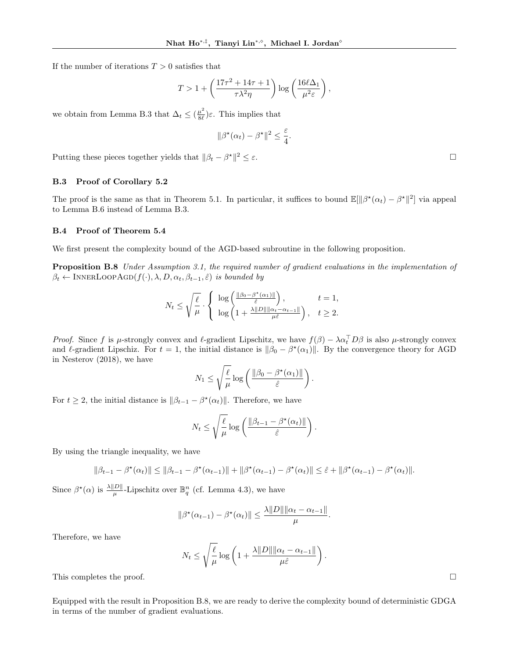If the number of iterations  $T > 0$  satisfies that

$$
T > 1 + \left(\frac{17\tau^2 + 14\tau + 1}{\tau\lambda^2\eta}\right) \log\left(\frac{16\ell\Delta_1}{\mu^2 \varepsilon}\right),\,
$$

we obtain from Lemma B.3 that  $\Delta_t \leq (\frac{\mu^2}{8\ell})$  $\frac{\mu}{8\ell}$ ) $\varepsilon$ . This implies that

$$
\|\beta^{\star}(\alpha_t) - \beta^{\star}\|^2 \leq \frac{\varepsilon}{4}.
$$

Putting these pieces together yields that  $\|\beta_t - \beta^*\|$  $2 \leq \varepsilon$ .

### B.3 Proof of Corollary 5.2

The proof is the same as that in Theorem 5.1. In particular, it suffices to bound  $\mathbb{E}[\|\beta^*(\alpha_t) - \beta^*\|^2]$  via appeal to Lemma B.6 instead of Lemma B.3.

### B.4 Proof of Theorem 5.4

We first present the complexity bound of the AGD-based subroutine in the following proposition.

Proposition B.8 Under Assumption 3.1, the required number of gradient evaluations in the implementation of  $\beta_t \leftarrow \text{INNERLoopAGD}(f(\cdot), \lambda, D, \alpha_t, \beta_{t-1}, \hat{\varepsilon})$  is bounded by

$$
N_t \le \sqrt{\frac{\ell}{\mu}} \cdot \left\{ \begin{array}{l} \log \left( \frac{\|\beta_0 - \beta^{\star}(\alpha_1)\|}{\hat{\varepsilon}} \right), & t = 1, \\ \log \left( 1 + \frac{\lambda \|D\| \|\alpha_t - \alpha_{t-1}\|}{\mu \hat{\varepsilon}} \right), & t \ge 2. \end{array} \right.
$$

Proof. Since f is  $\mu$ -strongly convex and  $\ell$ -gradient Lipschitz, we have  $f(\beta) - \lambda \alpha_t^{\top} D \beta$  is also  $\mu$ -strongly convex and  $\ell$ -gradient Lipschiz. For  $t = 1$ , the initial distance is  $\|\beta_0 - \beta^*(\alpha_1)\|$ . By the convergence theory for AGD in Nesterov (2018), we have

$$
N_1 \leq \sqrt{\frac{\ell}{\mu}} \log \left( \frac{\|\beta_0 - \beta^{\star}(\alpha_1)\|}{\hat{\varepsilon}} \right).
$$

For  $t \geq 2$ , the initial distance is  $\|\beta_{t-1} - \beta^{*}(\alpha_t)\|$ . Therefore, we have

$$
N_t \le \sqrt{\frac{\ell}{\mu}} \log \left( \frac{\|\beta_{t-1} - \beta^{\star}(\alpha_t)\|}{\hat{\varepsilon}} \right)
$$

.

By using the triangle inequality, we have

$$
\|\beta_{t-1} - \beta^{\star}(\alpha_t)\| \le \|\beta_{t-1} - \beta^{\star}(\alpha_{t-1})\| + \|\beta^{\star}(\alpha_{t-1}) - \beta^{\star}(\alpha_t)\| \le \hat{\varepsilon} + \|\beta^{\star}(\alpha_{t-1}) - \beta^{\star}(\alpha_t)\|.
$$

Since  $\beta^*(\alpha)$  is  $\frac{\lambda ||D||}{\mu}$ -Lipschitz over  $\mathbb{B}_q^n$  (cf. Lemma 4.3), we have

$$
\|\beta^*(\alpha_{t-1}) - \beta^*(\alpha_t)\| \le \frac{\lambda \|D\| \|\alpha_t - \alpha_{t-1}\|}{\mu}.
$$

Therefore, we have

$$
N_t \leq \sqrt{\frac{\ell}{\mu}} \log \left( 1 + \frac{\lambda ||D|| ||\alpha_t - \alpha_{t-1}||}{\mu \hat{\varepsilon}} \right).
$$

This completes the proof.  $\square$ 

Equipped with the result in Proposition B.8, we are ready to derive the complexity bound of deterministic GDGA in terms of the number of gradient evaluations.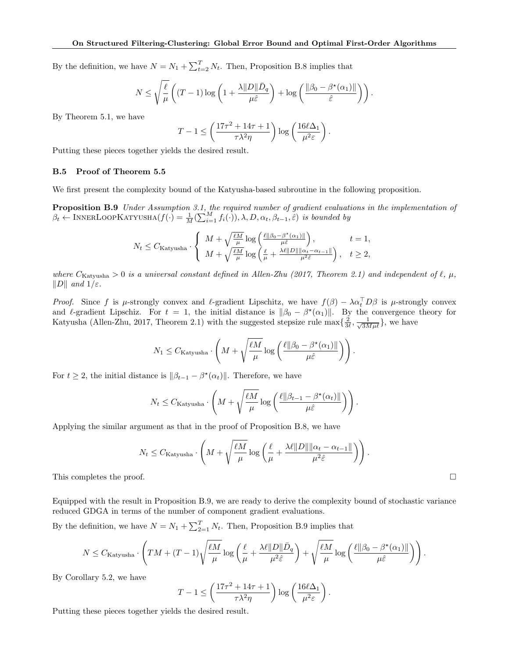By the definition, we have  $N = N_1 + \sum_{t=2}^{T} N_t$ . Then, Proposition B.8 implies that

$$
N \leq \sqrt{\frac{\ell}{\mu}} \left( (T-1) \log \left( 1 + \frac{\lambda ||D|| \bar{D}_q}{\mu \hat{\varepsilon}} \right) + \log \left( \frac{||\beta_0 - \beta^{\star}(\alpha_1)||}{\hat{\varepsilon}} \right) \right).
$$

By Theorem 5.1, we have

$$
T - 1 \le \left(\frac{17\tau^2 + 14\tau + 1}{\tau\lambda^2\eta}\right) \log\left(\frac{16\ell\Delta_1}{\mu^2 \varepsilon}\right).
$$

Putting these pieces together yields the desired result.

### B.5 Proof of Theorem 5.5

We first present the complexity bound of the Katyusha-based subroutine in the following proposition.

**Proposition B.9** Under Assumption 3.1, the required number of gradient evaluations in the implementation of  $\beta_t \leftarrow \text{INNERLoopKATYUSHA}(f(\cdot) = \frac{1}{M}(\sum_{i=1}^{M} f_i(\cdot)), \lambda, D, \alpha_t, \beta_{t-1}, \hat{\varepsilon})$  is bounded by

$$
N_t \leq C_{\text{Katyusha}} \cdot \left\{ \begin{array}{ll} M + \sqrt{\frac{\ell M}{\mu}} \log \left( \frac{\ell ||\beta_0 - \beta^\star(\alpha_1)||}{\mu \hat{\varepsilon}} \right), & t = 1, \\ M + \sqrt{\frac{\ell M}{\mu}} \log \left( \frac{\ell}{\mu} + \frac{\lambda \ell ||D|| ||\alpha_t - \alpha_{t-1}||}{\mu^2 \hat{\varepsilon}} \right), & t \geq 2, \end{array} \right.
$$

where  $C_{\text{Katvusha}} > 0$  is a universal constant defined in Allen-Zhu (2017, Theorem 2.1) and independent of  $\ell$ ,  $\mu$ ,  $||D||$  and  $1/\varepsilon$ .

Proof. Since f is  $\mu$ -strongly convex and  $\ell$ -gradient Lipschitz, we have  $f(\beta) - \lambda \alpha_t^{\top} D\beta$  is  $\mu$ -strongly convex and le-gradient Lipschiz. For  $t = 1$ , the initial distance is  $\|\beta_0 - \beta^*(\alpha_1)\|$ . By the convergence theory for Katyusha (Allen-Zhu, 2017, Theorem 2.1) with the suggested stepsize rule  $\max\{\frac{2}{3\ell},\frac{1}{\sqrt{3M\mu\ell}}\}$ , we have

$$
N_1 \leq C_{\text{Katyusha}} \cdot \left( M + \sqrt{\frac{\ell M}{\mu}} \log \left( \frac{\ell ||\beta_0 - \beta^{\star}(\alpha_1)||}{\mu \hat{\varepsilon}} \right) \right).
$$

For  $t \geq 2$ , the initial distance is  $\|\beta_{t-1} - \beta^{*}(\alpha_t)\|$ . Therefore, we have

$$
N_t \leq C_{\text{Katyusha}} \cdot \left( M + \sqrt{\frac{\ell M}{\mu}} \log \left( \frac{\ell || \beta_{t-1} - \beta^{\star}(\alpha_t) ||}{\mu \hat{\varepsilon}} \right) \right).
$$

Applying the similar argument as that in the proof of Proposition B.8, we have

$$
N_t \leq C_{\text{Katyusha}} \cdot \left( M + \sqrt{\frac{\ell M}{\mu}} \log \left( \frac{\ell}{\mu} + \frac{\lambda \ell ||D|| ||\alpha_t - \alpha_{t-1}||}{\mu^2 \hat{\varepsilon}} \right) \right).
$$

This completes the proof.  $\square$ 

Equipped with the result in Proposition B.9, we are ready to derive the complexity bound of stochastic variance reduced GDGA in terms of the number of component gradient evaluations.

By the definition, we have  $N = N_1 + \sum_{i=1}^{T} N_i$ . Then, Proposition B.9 implies that

$$
N \leq C_{\text{Katyusha}} \cdot \left( TM + (T - 1) \sqrt{\frac{\ell M}{\mu}} \log \left( \frac{\ell}{\mu} + \frac{\lambda \ell ||D|| \bar{D}_q}{\mu^2 \hat{\varepsilon}} \right) + \sqrt{\frac{\ell M}{\mu}} \log \left( \frac{\ell ||\beta_0 - \beta^{\star}(\alpha_1)||}{\mu \hat{\varepsilon}} \right) \right).
$$

By Corollary 5.2, we have

$$
T - 1 \le \left(\frac{17\tau^2 + 14\tau + 1}{\tau \lambda^2 \eta}\right) \log \left(\frac{16\ell \Delta_1}{\mu^2 \varepsilon}\right).
$$

Putting these pieces together yields the desired result.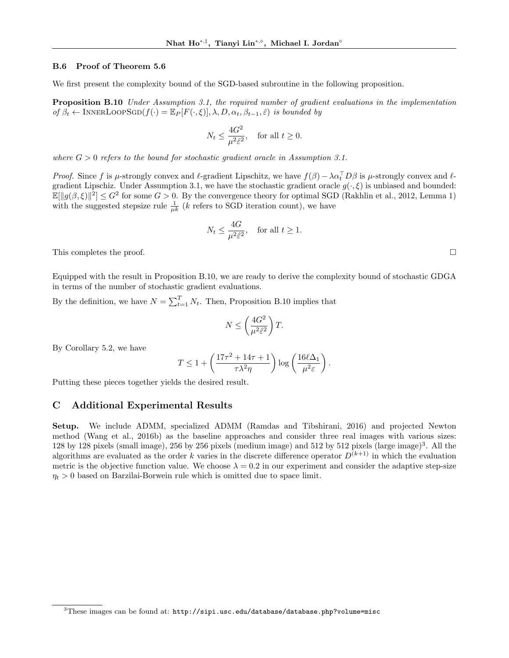### B.6 Proof of Theorem 5.6

We first present the complexity bound of the SGD-based subroutine in the following proposition.

Proposition B.10 Under Assumption 3.1, the required number of gradient evaluations in the implementation of  $\beta_t \leftarrow \text{INNERLoopSGD}(f(\cdot) = \mathbb{E}_P[F(\cdot, \xi)], \lambda, D, \alpha_t, \beta_{t-1}, \hat{\varepsilon})$  is bounded by

$$
N_t \le \frac{4G^2}{\mu^2 \hat{\varepsilon}^2}, \quad \text{for all } t \ge 0.
$$

where  $G > 0$  refers to the bound for stochastic gradient oracle in Assumption 3.1.

*Proof.* Since f is  $\mu$ -strongly convex and  $\ell$ -gradient Lipschitz, we have  $f(\beta) - \lambda \alpha_t^{\top} D\beta$  is  $\mu$ -strongly convex and  $\ell$ gradient Lipschiz. Under Assumption 3.1, we have the stochastic gradient oracle  $g(\cdot,\xi)$  is unbiased and bounded:  $\mathbb{E}[\|g(\beta,\xi)\|^2] \leq G^2$  for some  $G > 0$ . By the convergence theory for optimal SGD (Rakhlin et al., 2012, Lemma 1) with the suggested stepsize rule  $\frac{1}{\mu k}$  (k refers to SGD iteration count), we have

$$
N_t \le \frac{4G}{\mu^2 \hat{\varepsilon}^2}, \quad \text{for all } t \ge 1.
$$

This completes the proof.  $\square$ 

Equipped with the result in Proposition B.10, we are ready to derive the complexity bound of stochastic GDGA in terms of the number of stochastic gradient evaluations.

By the definition, we have  $N = \sum_{t=1}^{T} N_t$ . Then, Proposition B.10 implies that

$$
N \le \left(\frac{4G^2}{\mu^2 \hat{\varepsilon}^2}\right)T.
$$

By Corollary 5.2, we have

$$
T \le 1 + \left(\frac{17\tau^2 + 14\tau + 1}{\tau\lambda^2\eta}\right) \log\left(\frac{16\ell\Delta_1}{\mu^2 \varepsilon}\right).
$$

Putting these pieces together yields the desired result.

### C Additional Experimental Results

Setup. We include ADMM, specialized ADMM (Ramdas and Tibshirani, 2016) and projected Newton method (Wang et al., 2016b) as the baseline approaches and consider three real images with various sizes: 128 by 128 pixels (small image), 256 by 256 pixels (medium image) and 512 by 512 pixels (large image)<sup>3</sup>. All the algorithms are evaluated as the order k varies in the discrete difference operator  $D^{(k+1)}$  in which the evaluation metric is the objective function value. We choose  $\lambda = 0.2$  in our experiment and consider the adaptive step-size  $\eta_t > 0$  based on Barzilai-Borwein rule which is omitted due to space limit.

 $3$ These images can be found at: http://sipi.usc.edu/database/database.php?volume=misc